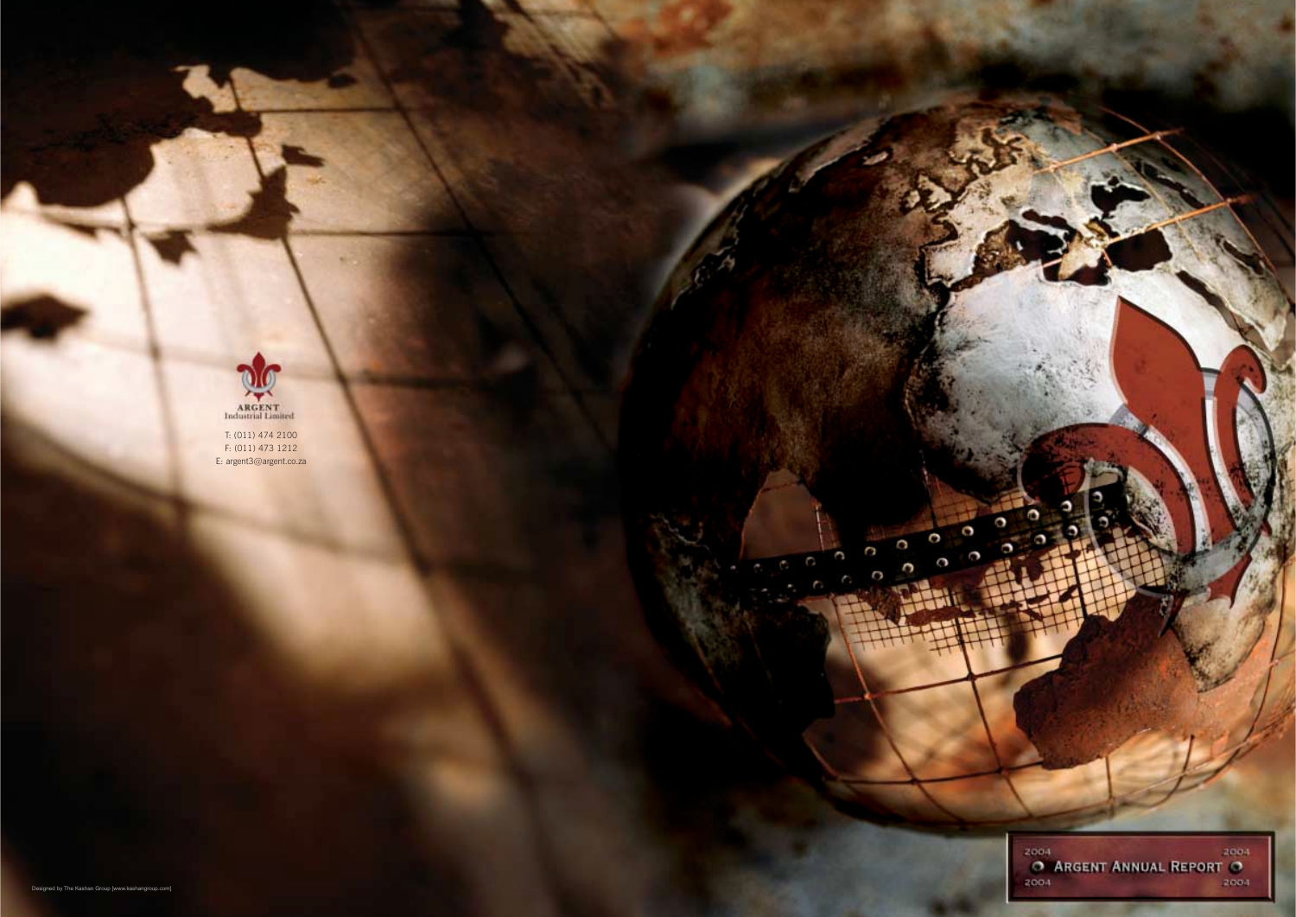

T: (011) 474 2100 F: (011) 473 1212 E: argent3@argent.co.za



C

 $\circ$ 

C

 $\Omega$ 

C

C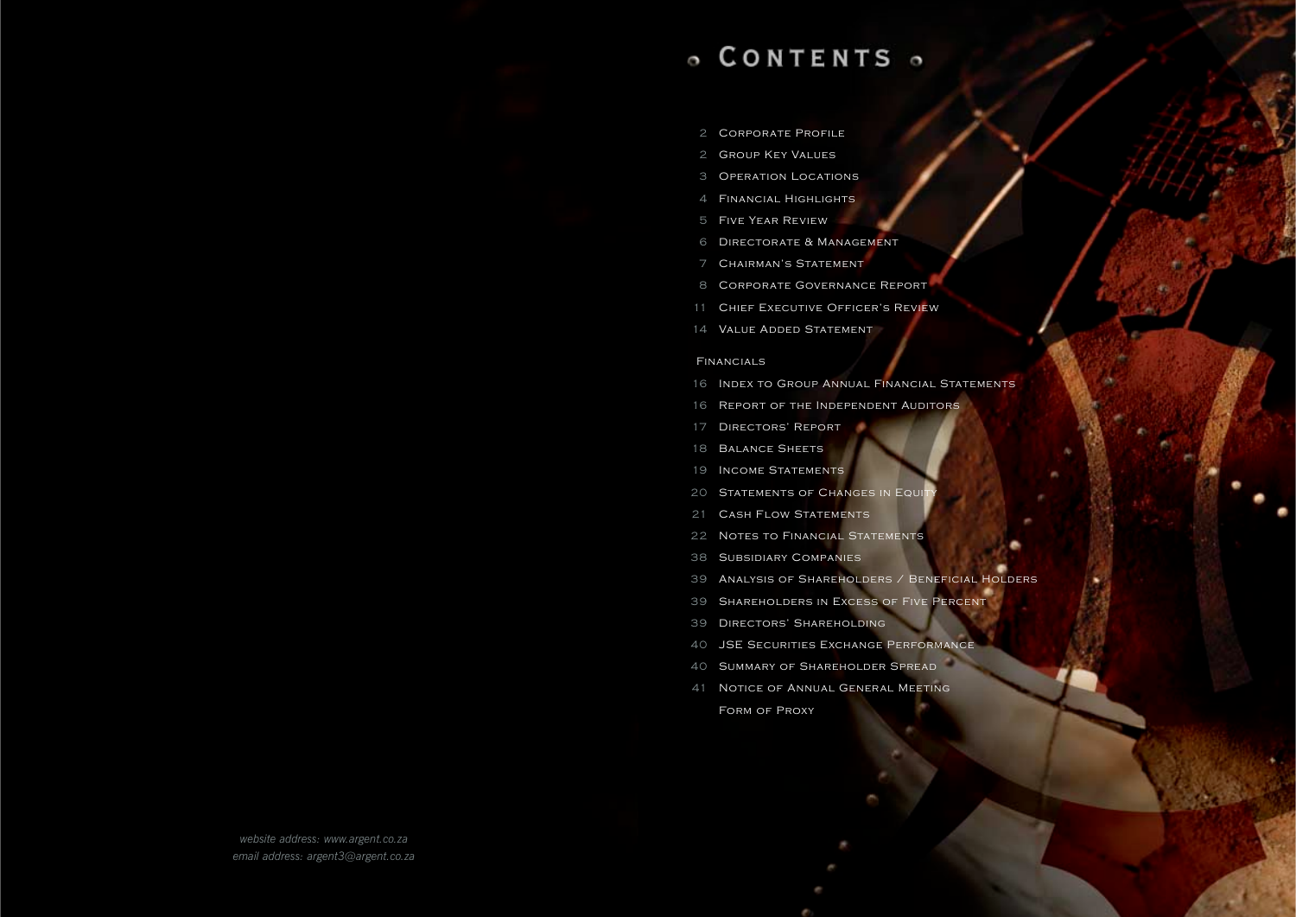# o CONTENTS o

- Corporate Profile
- Group Key Values
- Operation Locations
- Financial Highlights
- Five Year Review
- Directorate & Management
- Chairmanís Statement
- Corporate Governance Report
- Chief Executive Officerís Review
- Value Added Statement

- Index to Group Annual Financial Statements
- Report of the Independent Auditors
- Directorsí Report
- 18 BALANCE SHEETS
- Income Statements
- 20 STATEMENTS OF CHANGES IN EQUITY
- 21 CASH FLOW STATEMENTS
- 22 NOTES TO FINANCIAL STATEMENTS
- Subsidiary Companies
- Analysis of Shareholders / Beneficial Holders
- Shareholders in Excess of Five Percent
- Directorsí Shareholding
- JSE Securities Exchange Performance
- Summary of Shareholder Spread
- Notice of Annual General Meeting Form of Proxy

#### Financials

*website address: www.argent.co.za email address: argent3@argent.co.za*

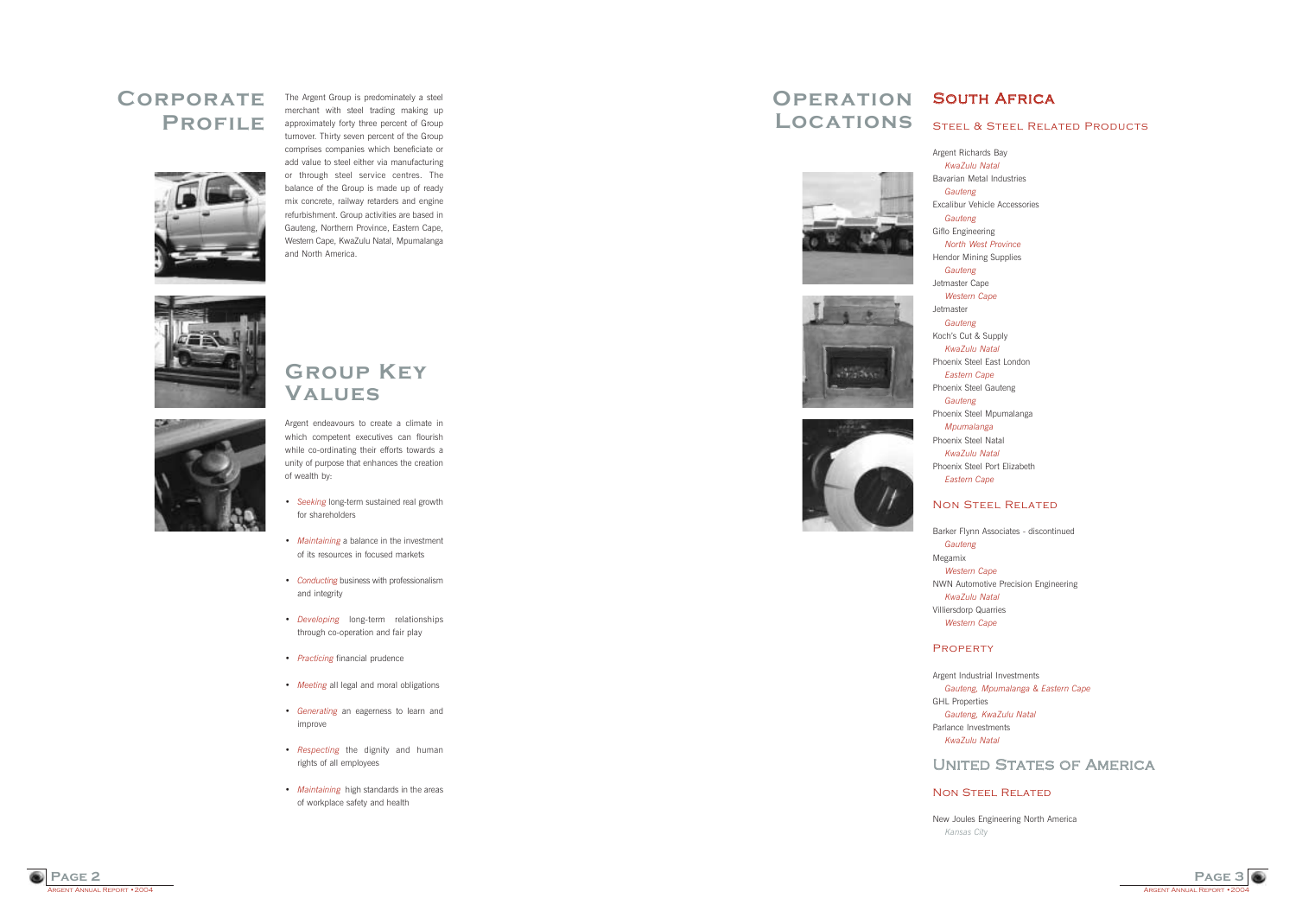

Argent Richards Bay *KwaZulu Natal* Bavarian Metal Industries

*Gauteng*

Excalibur Vehicle Accessories

*Gauteng*

Giflo Engineering *North West Province* Hendor Mining Supplies

*Gauteng*

Jetmaster Cape *Western Cape*

Jetmaster *Gauteng*

Kochís Cut & Supply *KwaZulu Natal* Phoenix Steel East London *Eastern Cape* Phoenix Steel Gauteng

*Gauteng*

Phoenix Steel Mpumalanga *Mpumalanga* Phoenix Steel Natal *KwaZulu Natal* Phoenix Steel Port Elizabeth *Eastern Cape*

### NON STEEL RELATED

RGENT ANNUAL REPORT • 2004 **Page 2**

### STEEL & STEEL RELATED PRODUCTS

Barker Flynn Associates - discontinued

NWN Automotive Precision Engineering

### **UNITED STATES OF AMERICA**

### NON STEEL RELATED

*Gauteng* Megamix *Western Cape KwaZulu Natal* Villiersdorp Quarries *Western Cape*

### **PROPERTY**

Argent Industrial Investments *Gauteng, Mpumalanga & Eastern Cape* GHL Properties *Gauteng, KwaZulu Natal* Parlance Investments *KwaZulu Natal*

New Joules Engineering North America *Kansas City*

- Seeking long-term sustained real growth for shareholders
- *Maintaining* a balance in the investment of its resources in focused markets
- *Conducting* business with professionalism and integrity
- **•** *Developing* long-term relationships through co-operation and fair play
- *Practicing* financial prudence
- *Meeting* all legal and moral obligations
- ï *Generating* an eagerness to learn and improve
- *Respecting* the dignity and human rights of all employees
- *Maintaining* high standards in the areas of workplace safety and health

# **OPERATION SOUTH AFRICA Locations**









The Argent Group is predominately a steel merchant with steel trading making up approximately forty three percent of Group turnover. Thirty seven percent of the Group comprises companies which beneficiate or add value to steel either via manufacturing or through steel service centres. The balance of the Group is made up of ready mix concrete, railway retarders and engine refurbishment. Group activities are based in Gauteng, Northern Province, Eastern Cape, Western Cape, KwaZulu Natal, Mpumalanga and North America.





### **Group Key Values**

Argent endeavours to create a climate in which competent executives can flourish while co-ordinating their efforts towards a unity of purpose that enhances the creation of wealth by:

### **Corporate Profile**

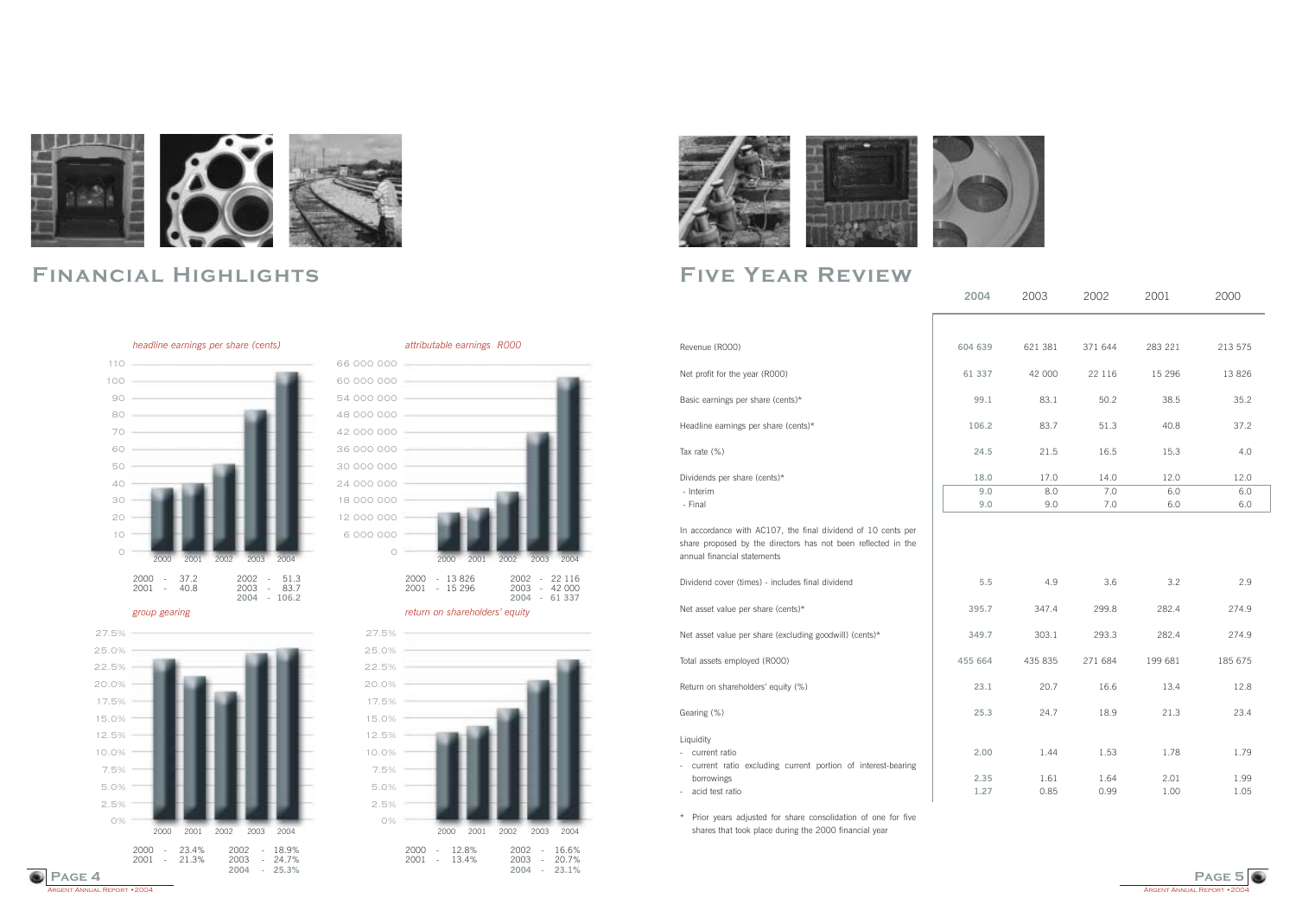## **Five Year Review**



# **Financial Highlights**

#### *headline earnings per share (cents)* attributable earnings R000





#### *group gearing return on shareholdersí equity*







|                                                                                                                                                              | 2004    | 2003    | 2002    | 2001     | 2000    |  |
|--------------------------------------------------------------------------------------------------------------------------------------------------------------|---------|---------|---------|----------|---------|--|
|                                                                                                                                                              |         |         |         |          |         |  |
| Revenue (R000)                                                                                                                                               | 604 639 | 621 381 | 371 644 | 283 221  | 213 575 |  |
| Net profit for the year (R000)                                                                                                                               | 61 337  | 42 000  | 22 116  | 15 2 9 6 | 13 8 26 |  |
| Basic earnings per share (cents)*                                                                                                                            | 99.1    | 83.1    | 50.2    | 38.5     | 35.2    |  |
| Headline earnings per share (cents)*                                                                                                                         | 106.2   | 83.7    | 51.3    | 40.8     | 37.2    |  |
| Tax rate (%)                                                                                                                                                 | 24.5    | 21.5    | 16.5    | 15.3     | 4.0     |  |
| Dividends per share (cents)*                                                                                                                                 | 18.0    | 17.0    | 14.0    | 12.0     | 12.0    |  |
| - Interim                                                                                                                                                    | 9.0     | 8.0     | 7.0     | 6.0      | 6.0     |  |
| - Final                                                                                                                                                      | 9.0     | 9.0     | 7.0     | 6.0      | 6.0     |  |
| In accordance with AC107, the final dividend of 10 cents per<br>share proposed by the directors has not been reflected in the<br>annual financial statements |         |         |         |          |         |  |
| Dividend cover (times) - includes final dividend                                                                                                             | $5.5$   | 4.9     | 3.6     | 3.2      | 2.9     |  |
| Net asset value per share (cents)*                                                                                                                           | 395.7   | 347.4   | 299.8   | 282.4    | 274.9   |  |
| Net asset value per share (excluding goodwill) (cents)*                                                                                                      | 349.7   | 303.1   | 293.3   | 282.4    | 274.9   |  |
| Total assets employed (R000)                                                                                                                                 | 455 664 | 435 835 | 271 684 | 199 681  | 185 675 |  |
| Return on shareholders' equity (%)                                                                                                                           | 23.1    | 20.7    | 16.6    | 13.4     | 12.8    |  |
| Gearing (%)                                                                                                                                                  | 25.3    | 24.7    | 18.9    | 21.3     | 23.4    |  |
| Liquidity<br>current ratio<br>$\overline{\phantom{a}}$<br>current ratio excluding current portion of interest-bearing<br>$\overline{\phantom{a}}$            | 2.00    | 1.44    | 1.53    | 1.78     | 1.79    |  |
| borrowings                                                                                                                                                   | 2.35    | 1.61    | 1.64    | 2.01     | 1.99    |  |
| acid test ratio<br>$\overline{\phantom{a}}$                                                                                                                  | 1.27    | 0.85    | 0.99    | 1.00     | 1.05    |  |

\* Prior years adjusted for share consolidation of one for five shares that took place during the 2000 financial year

Argent Annual Report • 2004

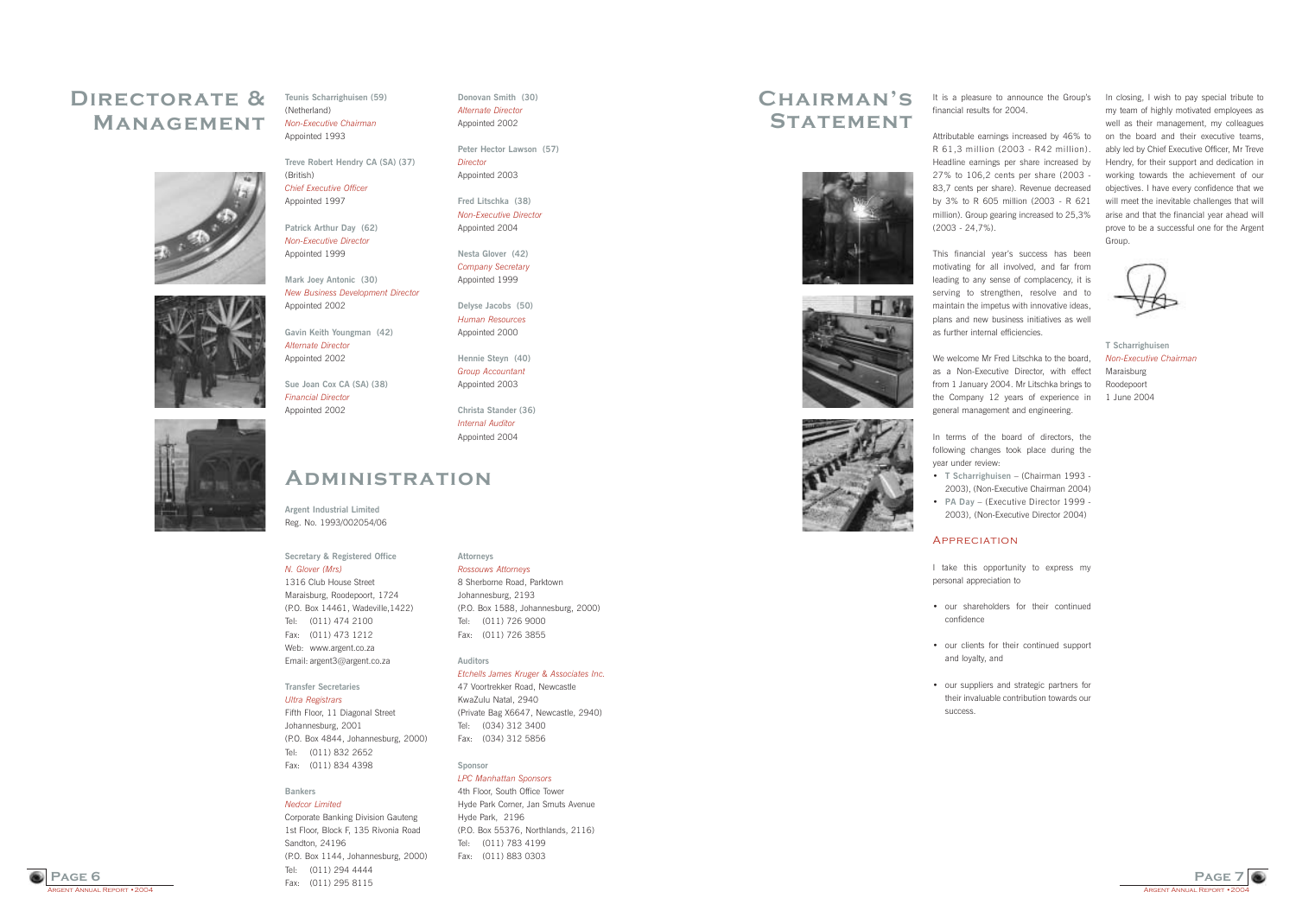

It is a pleasure to announce the Group's financial results for 2004.

Attributable earnings increased by 46% to R 61,3 million (2003 - R42 million). Headline earnings per share increased by 27% to 106,2 cents per share (2003 - 83,7 cents per share). Revenue decreased by 3% to R 605 million (2003 - R 621 million). Group gearing increased to 25,3% (2003 - 24,7%).

This financial year's success has been motivating for all involved, and far from leading to any sense of complacency, it is serving to strengthen, resolve and to maintain the impetus with innovative ideas, plans and new business initiatives as well as further internal efficiencies.

We welcome Mr Fred Litschka to the board. as a Non-Executive Director, with effect from 1 January 2004. Mr Litschka brings to the Company 12 years of experience in general management and engineering.

**·** T Scharrighuisen - (Chairman 1993 -2003), (Non-Executive Chairman 2004) • **PA Day** – (Executive Director 1999 -2003), (Non-Executive Director 2004)

• our suppliers and strategic partners for their invaluable contribution towards our

In terms of the board of directors, the following changes took place during the year under review:

### **GENT ANNUAL REPORT • 2004 Page 6**



I take this opportunity to express my personal appreciation to

• our shareholders for their continued

• our clients for their continued support

- confidence
- and loyalty, and
- success.





In closing, I wish to pay special tribute to my team of highly motivated employees as well as their management, my colleagues on the board and their executive teams, ably led by Chief Executive Officer, Mr Treve Hendry, for their support and dedication in working towards the achievement of our objectives. I have every confidence that we will meet the inevitable challenges that will arise and that the financial year ahead will prove to be a successful one for the Argent Group.

**T Scharrighuisen** *Non-Executive Chairman* Maraisburg Roodepoort 1 June 2004

### **Chairmanís STATEMENT**







#### **APPRECIATION**

**Teunis Scharrighuisen (59)** (Netherland) *Non-Executive Chairman* Appointed 1993

**Treve Robert Hendry CA (SA) (37)** (British) *Chief Executive Officer* Appointed 1997

**Patrick Arthur Day (62)** *Non-Executive Director* Appointed 1999

**Mark Joey Antonic (30)** *New Business Development Director* Appointed 2002

**Gavin Keith Youngman (42)** *Alternate Director* Appointed 2002

**Sue Joan Cox CA (SA) (38)** *Financial Director* Appointed 2002



**Donovan Smith (30)** *Alternate Director* Appointed 2002

**Peter Hector Lawson (57)** *Director* Appointed 2003

**Fred Litschka (38)** *Non-Executive Director* Appointed 2004

**Nesta Glover (42)** *Company Secretary* Appointed 1999

**Delyse Jacobs (50)** *Human Resources* Appointed 2000

**Hennie Steyn (40)** *Group Accountant* Appointed 2003

**Christa Stander (36)** *Internal Auditor* Appointed 2004

#### **Secretary & Registered Office**

*N. Glover (Mrs)* 1316 Club House Street Maraisburg, Roodepoort, 1724 (P.O. Box 14461, Wadeville,1422) Tel: (011) 474 2100 Fax: (011) 473 1212 Web: www.argent.co.za Email: argent3@argent.co.za

### **Transfer Secretaries**

*Ultra Registrars* Fifth Floor, 11 Diagonal Street Johannesburg, 2001 (P.O. Box 4844, Johannesburg, 2000) Tel: (011) 832 2652 Fax: (011) 834 4398

#### **Bankers**

*Nedcor Limited* Corporate Banking Division Gauteng 1st Floor, Block F, 135 Rivonia Road Sandton, 24196 (P.O. Box 1144, Johannesburg, 2000) Tel: (011) 294 4444 Fax: (011) 295 8115

#### **Attorneys**

*Rossouws Attorneys* 8 Sherborne Road, Parktown Johannesburg, 2193 (P.O. Box 1588, Johannesburg, 2000) Tel: (011) 726 9000 Fax: (011) 726 3855

#### **Auditors**

*Etchells James Kruger & Associates Inc.*

47 Voortrekker Road, Newcastle KwaZulu Natal, 2940 (Private Bag X6647, Newcastle, 2940) Tel: (034) 312 3400 Fax: (034) 312 5856

### **Sponsor**

*LPC Manhattan Sponsors* 4th Floor, South Office Tower Hyde Park Corner, Jan Smuts Avenue Hyde Park, 2196 (P.O. Box 55376, Northlands, 2116) Tel: (011) 783 4199 Fax: (011) 883 0303

## **Directorate & Management**





# **Administration**

**Argent Industrial Limited**

Reg. No. 1993/002054/06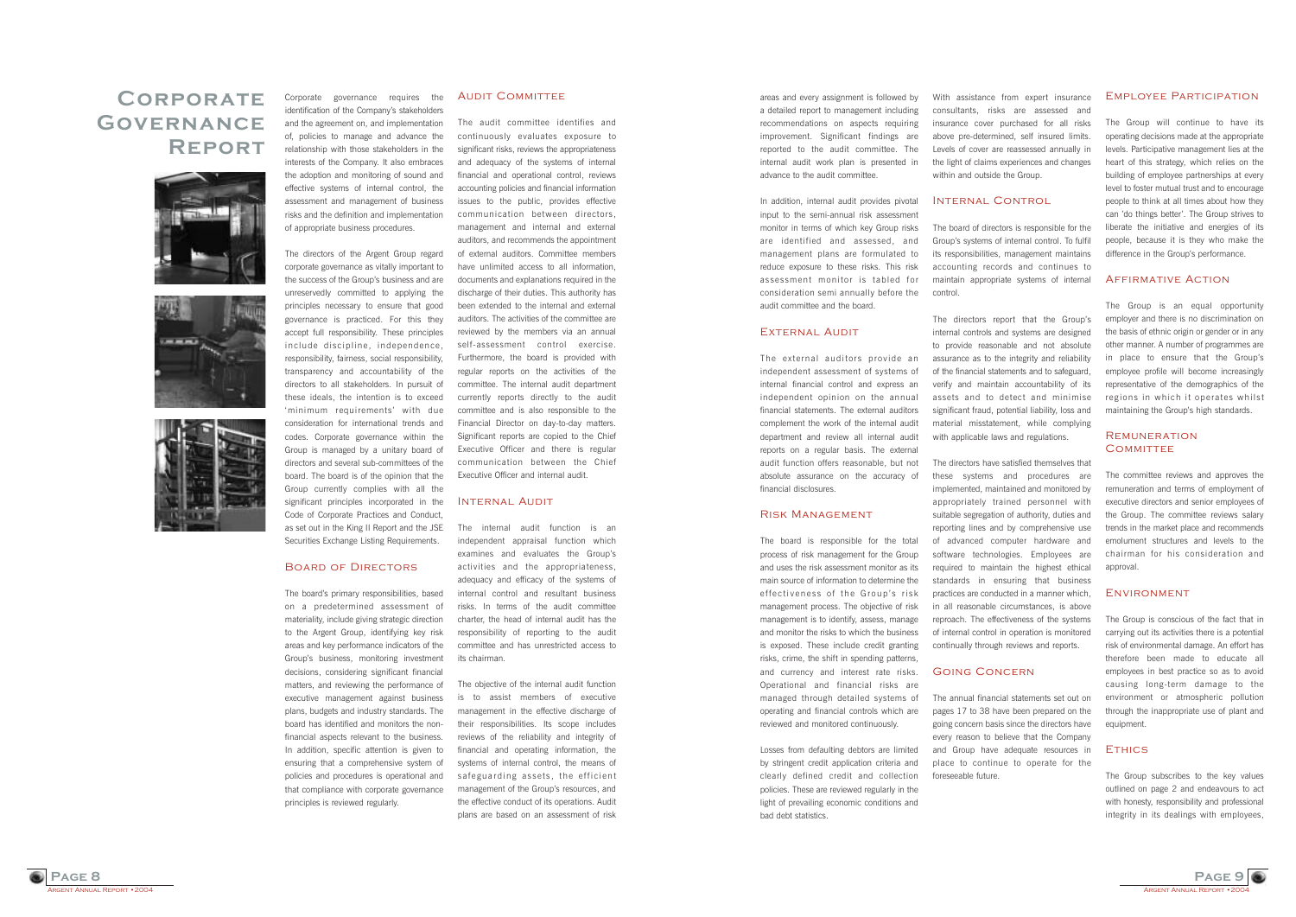

With assistance from expert insurance consultants, risks are assessed and insurance cover purchased for all risks above pre-determined, self insured limits. Levels of cover are reassessed annually in the light of claims experiences and changes within and outside the Group.

#### Internal Control

The board of directors is responsible for the Groupís systems of internal control. To fulfil its responsibilities, management maintains accounting records and continues to maintain appropriate systems of internal

control.

The directors report that the Group's internal controls and systems are designed to provide reasonable and not absolute assurance as to the integrity and reliability of the financial statements and to safeguard, verify and maintain accountability of its assets and to detect and minimise significant fraud, potential liability, loss and material misstatement, while complying with applicable laws and regulations.

The directors have satisfied themselves that these systems and procedures are implemented, maintained and monitored by appropriately trained personnel with suitable segregation of authority, duties and reporting lines and by comprehensive use of advanced computer hardware and software technologies. Employees are required to maintain the highest ethical standards in ensuring that business practices are conducted in a manner which, in all reasonable circumstances, is above reproach. The effectiveness of the systems of internal control in operation is monitored continually through reviews and reports.

#### Going Concern

The annual financial statements set out on pages 17 to 38 have been prepared on the going concern basis since the directors have every reason to believe that the Company and Group have adequate resources in place to continue to operate for the

foreseeable future.

The Group will continue to have its operating decisions made at the appropriate levels. Participative management lies at the heart of this strategy, which relies on the building of employee partnerships at every level to foster mutual trust and to encourage people to think at all times about how they can 'do things better'. The Group strives to liberate the initiative and energies of its people, because it is they who make the difference in the Group's performance.

areas and every assignment is followed by a detailed report to management including recommendations on aspects requiring improvement. Significant findings are reported to the audit committee. The internal audit work plan is presented in advance to the audit committee.

In addition, internal audit provides pivotal input to the semi-annual risk assessment monitor in terms of which key Group risks are identified and assessed, and management plans are formulated to reduce exposure to these risks. This risk assessment monitor is tabled for consideration semi annually before the audit committee and the board.

#### External Audit

The Group subscribes to the key values outlined on page 2 and endeavours to act with honesty, responsibility and professional integrity in its dealings with employees

The external auditors provide an independent assessment of systems of internal financial control and express an independent opinion on the annual financial statements. The external auditors complement the work of the internal audit department and review all internal audit reports on a regular basis. The external audit function offers reasonable, but not absolute assurance on the accuracy of financial disclosures.

#### Risk Management

The board is responsible for the total process of risk management for the Group and uses the risk assessment monitor as its main source of information to determine the effectiveness of the Group's risk management process. The objective of risk management is to identify, assess, manage and monitor the risks to which the business is exposed. These include credit granting risks, crime, the shift in spending patterns, and currency and interest rate risks. Operational and financial risks are managed through detailed systems of operating and financial controls which are reviewed and monitored continuously.

Losses from defaulting debtors are limited by stringent credit application criteria and clearly defined credit and collection policies. These are reviewed regularly in the light of prevailing economic conditions and bad debt statistics.

#### Employee Participation

The board's primary responsibilities, based on a predetermined assessment of materiality, include giving strategic direction to the Argent Group, identifying key risk areas and key performance indicators of the Group's business, monitoring investment decisions, considering significant financial matters, and reviewing the performance of executive management against business plans, budgets and industry standards. The board has identified and monitors the nonfinancial aspects relevant to the business. In addition, specific attention is given to ensuring that a comprehensive system of policies and procedures is operational and that compliance with corporate governance principles is reviewed regularly.

#### **AUDIT COMMITTEE**

#### Affirmative Action

The Group is an equal opportunity employer and there is no discrimination on the basis of ethnic origin or gender or in any other manner. A number of programmes are in place to ensure that the Group's employee profile will become increasingly representative of the demographics of the regions in which it operates whilst maintaining the Group's high standards.

#### **REMUNERATION COMMITTEE**

The committee reviews and approves the remuneration and terms of employment of executive directors and senior employees of the Group. The committee reviews salary trends in the market place and recommends emolument structures and levels to the chairman for his consideration and approval.

#### Environment

The Group is conscious of the fact that in carrying out its activities there is a potential risk of environmental damage. An effort has therefore been made to educate all employees in best practice so as to avoid causing long-term damage to the environment or atmospheric pollution through the inappropriate use of plant and equipment.

#### **ETHICS**

### **Corporate Governance Report**







Corporate governance requires the identification of the Company's stakeholders and the agreement on, and implementation of, policies to manage and advance the relationship with those stakeholders in the interests of the Company. It also embraces the adoption and monitoring of sound and effective systems of internal control, the assessment and management of business risks and the definition and implementation of appropriate business procedures.

The directors of the Argent Group regard corporate governance as vitally important to the success of the Group's business and are unreservedly committed to applying the principles necessary to ensure that good governance is practiced. For this they accept full responsibility. These principles include discipline, independence, responsibility, fairness, social responsibility, transparency and accountability of the directors to all stakeholders. In pursuit of these ideals, the intention is to exceed ëminimum requirementsí with due consideration for international trends and codes. Corporate governance within the Group is managed by a unitary board of directors and several sub-committees of the board. The board is of the opinion that the Group currently complies with all the significant principles incorporated in the Code of Corporate Practices and Conduct, as set out in the King II Report and the JSE Securities Exchange Listing Requirements.

#### Board of Directors

The audit committee identifies and continuously evaluates exposure to significant risks, reviews the appropriateness and adequacy of the systems of internal financial and operational control, reviews accounting policies and financial information issues to the public, provides effective communication between directors, management and internal and external auditors, and recommends the appointment of external auditors. Committee members have unlimited access to all information, documents and explanations required in the discharge of their duties. This authority has been extended to the internal and external auditors. The activities of the committee are reviewed by the members via an annual self-assessment control exercise. Furthermore, the board is provided with regular reports on the activities of the committee. The internal audit department currently reports directly to the audit committee and is also responsible to the Financial Director on day-to-day matters. Significant reports are copied to the Chief Executive Officer and there is regular communication between the Chief Executive Officer and internal audit.

#### Internal Audit

The internal audit function is an independent appraisal function which examines and evaluates the Group's activities and the appropriateness, adequacy and efficacy of the systems of internal control and resultant business risks. In terms of the audit committee charter, the head of internal audit has the responsibility of reporting to the audit committee and has unrestricted access to its chairman.

The objective of the internal audit function is to assist members of executive management in the effective discharge of their responsibilities. Its scope includes reviews of the reliability and integrity of financial and operating information, the systems of internal control, the means of safeguarding assets, the efficient management of the Group's resources, and the effective conduct of its operations. Audit plans are based on an assessment of risk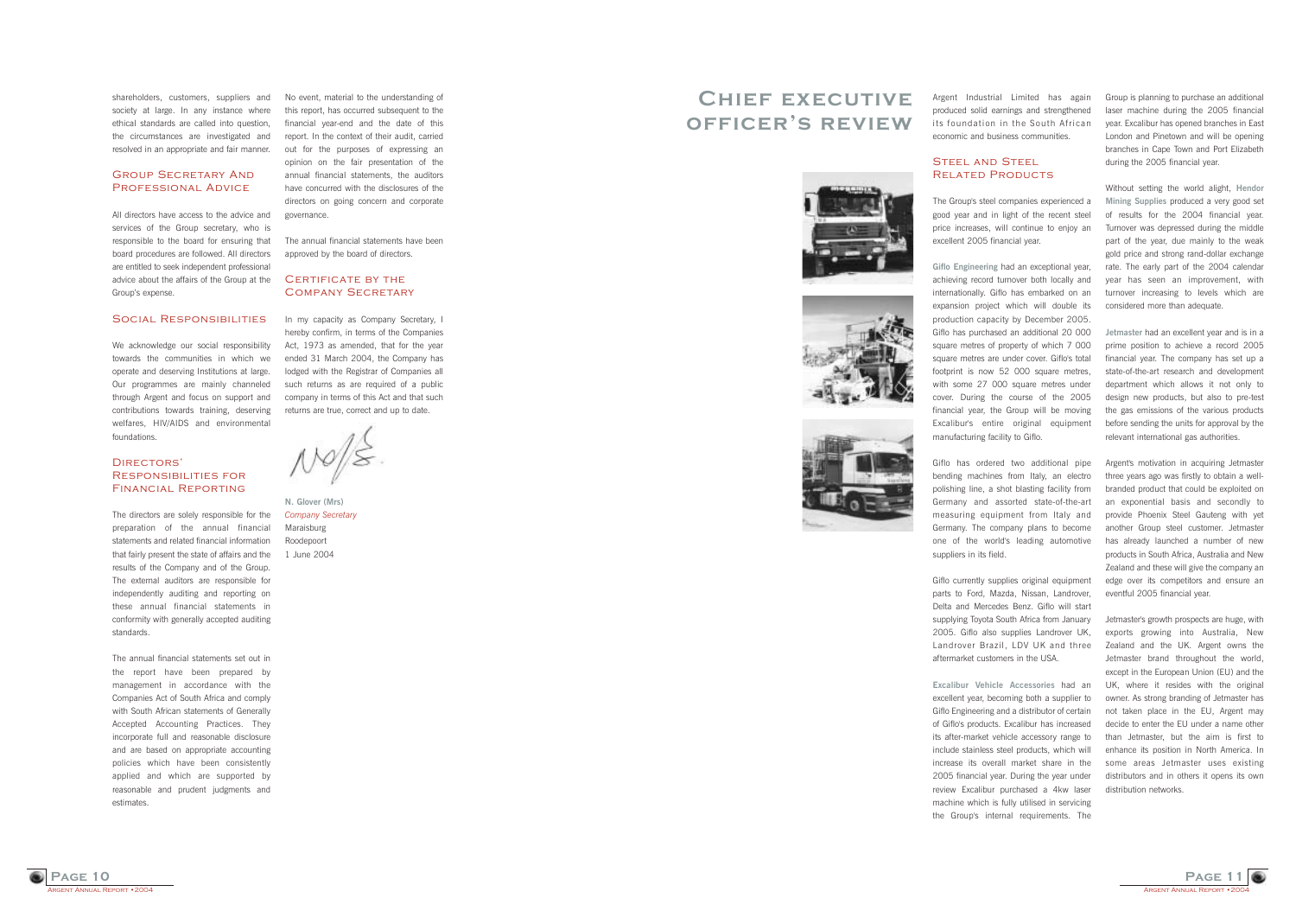**Page 11**

Argent Industrial Limited has again produced solid earnings and strengthened its foundation in the South African economic and business communities.

#### Steel and Steel Related Products

The Group's steel companies experienced a good year and in light of the recent steel price increases, will continue to enjoy an excellent 2005 financial year.

**Giflo Engineering** had an exceptional year, achieving record turnover both locally and internationally. Giflo has embarked on an expansion project which will double its production capacity by December 2005. Giflo has purchased an additional 20 000 square metres of property of which 7 000 square metres are under cover. Giflo's total footprint is now 52 000 square metres. with some 27 000 square metres under cover. During the course of the 2005 financial year, the Group will be moving Excalibur's entire original equipment manufacturing facility to Giflo.

Giflo has ordered two additional pipe bending machines from Italy, an electro polishing line, a shot blasting facility from Germany and assorted state-of-the-art measuring equipment from Italy and Germany. The company plans to become one of the world's leading automotive suppliers in its field.

Giflo currently supplies original equipment parts to Ford, Mazda, Nissan, Landrover, Delta and Mercedes Benz. Giflo will start supplying Toyota South Africa from January 2005. Giflo also supplies Landrover UK, Landrover Brazil, LDV UK and three aftermarket customers in the USA.

**Excalibur Vehicle Accessories** had an excellent year, becoming both a supplier to Giflo Engineering and a distributor of certain of Giflo's products. Excalibur has increased its after-market vehicle accessory range to include stainless steel products, which will increase its overall market share in the 2005 financial year. During the year under review Excalibur purchased a 4kw laser machine which is fully utilised in servicing the Group's internal requirements. The

Group is planning to purchase an additional laser machine during the 2005 financial year. Excalibur has opened branches in East London and Pinetown and will be opening branches in Cape Town and Port Elizabeth during the 2005 financial year.

#### CERTIFICATE BY THE Company Secretary

Without setting the world alight, **Hendor Mining Supplies** produced a very good set of results for the 2004 financial year. Turnover was depressed during the middle part of the year, due mainly to the weak gold price and strong rand-dollar exchange rate. The early part of the 2004 calendar year has seen an improvement, with turnover increasing to levels which are considered more than adequate.

In my capacity as Company Secretary, I hereby confirm, in terms of the Companies Act, 1973 as amended, that for the year ended 31 March 2004, the Company has lodged with the Registrar of Companies all such returns as are required of a public company in terms of this Act and that such returns are true, correct and up to date.

All directors have access to the advice and services of the Group secretary, who is responsible to the board for ensuring that board procedures are followed. All directors are entitled to seek independent professional advice about the affairs of the Group at the Group's expense.

#### Social RESPONSIBILITIES

**Jetmaster** had an excellent year and is in a prime position to achieve a record 2005 financial year. The company has set up a state-of-the-art research and development department which allows it not only to design new products, but also to pre-test the gas emissions of the various products before sending the units for approval by the relevant international gas authorities.

#### DIRECTORS' Responsibilities for Financial Reporting

that fairly present the state of affairs and the 1 June 2004 The directors are solely responsible for the preparation of the annual financial statements and related financial information results of the Company and of the Group. The external auditors are responsible for independently auditing and reporting on these annual financial statements in conformity with generally accepted auditing standards.

Argent's motivation in acquiring Jetmaster three years ago was firstly to obtain a wellbranded product that could be exploited on an exponential basis and secondly to provide Phoenix Steel Gauteng with yet another Group steel customer. Jetmaster has already launched a number of new products in South Africa, Australia and New Zealand and these will give the company an edge over its competitors and ensure an eventful 2005 financial year.

Jetmaster's growth prospects are huge, with exports growing into Australia, New Zealand and the UK. Argent owns the Jetmaster brand throughout the world, except in the European Union (EU) and the UK, where it resides with the original owner. As strong branding of Jetmaster has not taken place in the EU, Argent may decide to enter the EU under a name other than Jetmaster, but the aim is first to enhance its position in North America. In some areas Jetmaster uses existing distributors and in others it opens its own distribution networks.

ARGENT ANNUAL REPORT • 20

**Page 10**

No event, material to the understanding of this report, has occurred subsequent to the financial year-end and the date of this report. In the context of their audit, carried out for the purposes of expressing an opinion on the fair presentation of the annual financial statements, the auditors have concurred with the disclosures of the directors on going concern and corporate governance.

The annual financial statements have been approved by the board of directors.

**N. Glover (Mrs)** *Company Secretary* Maraisburg Roodepoort

shareholders, customers, suppliers and society at large. In any instance where ethical standards are called into question, the circumstances are investigated and resolved in an appropriate and fair manner.

#### Group Secretary And Professional Advice

We acknowledge our social responsibility towards the communities in which we operate and deserving Institutions at large. Our programmes are mainly channeled through Argent and focus on support and contributions towards training, deserving welfares, HIV/AIDS and environmental foundations.

The annual financial statements set out in the report have been prepared by management in accordance with the Companies Act of South Africa and comply with South African statements of Generally Accepted Accounting Practices. They incorporate full and reasonable disclosure and are based on appropriate accounting policies which have been consistently applied and which are supported by reasonable and prudent judgments and estimates.

**ENT ANNUAL REPORT • 2004** 

### **Chief executive officerís review**







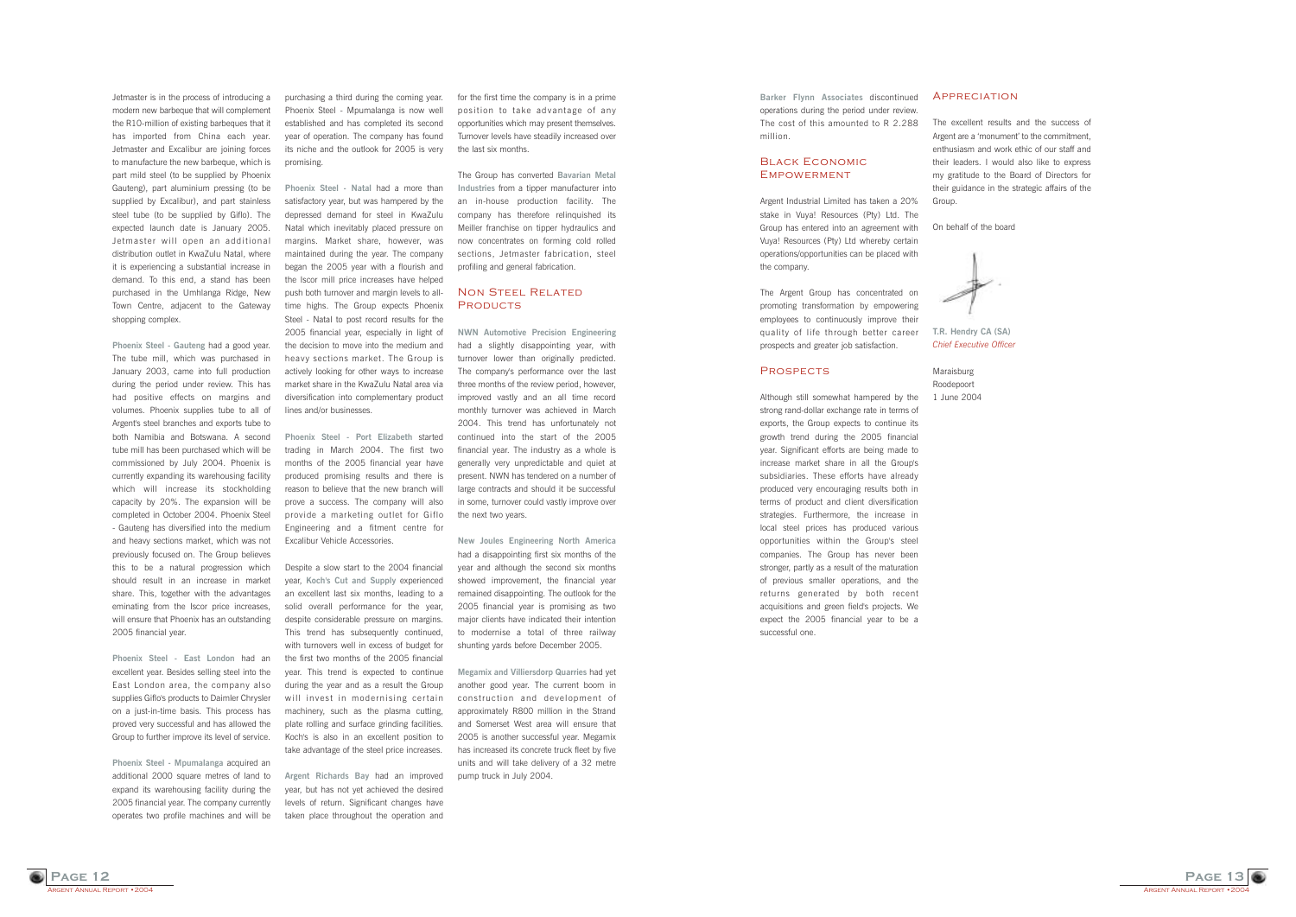**ENT ANNUAL REPORT • 2004 Page 12**

#### **APPRECIATION**

purchasing a third during the coming year. Phoenix Steel - Mpumalanga is now well established and has completed its second year of operation. The company has found its niche and the outlook for 2005 is very promising.

**Phoenix Steel - Natal** had a more than satisfactory year, but was hampered by the depressed demand for steel in KwaZulu Natal which inevitably placed pressure on margins. Market share, however, was maintained during the year. The company began the 2005 year with a flourish and the Iscor mill price increases have helped push both turnover and margin levels to alltime highs. The Group expects Phoenix Steel - Natal to post record results for the 2005 financial year, especially in light of the decision to move into the medium and heavy sections market. The Group is actively looking for other ways to increase market share in the KwaZulu Natal area via diversification into complementary product lines and/or businesses.

**Phoenix Steel - Port Elizabeth** started trading in March 2004. The first two months of the 2005 financial year have produced promising results and there is reason to believe that the new branch will prove a success. The company will also provide a marketing outlet for Giflo Engineering and a fitment centre for Excalibur Vehicle Accessories.

Despite a slow start to the 2004 financial year, **Koch's Cut and Supply** experienced an excellent last six months, leading to a solid overall performance for the year, despite considerable pressure on margins. This trend has subsequently continued, with turnovers well in excess of budget for the first two months of the 2005 financial year. This trend is expected to continue during the year and as a result the Group will invest in modernising certain machinery, such as the plasma cutting, plate rolling and surface grinding facilities. Koch's is also in an excellent position to take advantage of the steel price increases.

**Argent Richards Bay** had an improved year, but has not yet achieved the desired levels of return. Significant changes have taken place throughout the operation and

#### Non Steel Related **PRODUCTS**

Jetmaster is in the process of introducing a modern new barbeque that will complement the R10-million of existing barbeques that it has imported from China each year. Jetmaster and Excalibur are joining forces to manufacture the new barbeque, which is part mild steel (to be supplied by Phoenix Gauteng), part aluminium pressing (to be supplied by Excalibur), and part stainless steel tube (to be supplied by Giflo). The expected launch date is January 2005. Jetmaster will open an additional distribution outlet in KwaZulu Natal, where it is experiencing a substantial increase in demand. To this end, a stand has been purchased in the Umhlanga Ridge, New Town Centre, adjacent to the Gateway shopping complex.

**Phoenix Steel - Gauteng** had a good year. The tube mill, which was purchased in January 2003, came into full production during the period under review. This has had positive effects on margins and volumes. Phoenix supplies tube to all of Argent's steel branches and exports tube to both Namibia and Botswana. A second tube mill has been purchased which will be commissioned by July 2004. Phoenix is currently expanding its warehousing facility which will increase its stockholding capacity by 20%. The expansion will be completed in October 2004. Phoenix Steel - Gauteng has diversified into the medium and heavy sections market, which was not previously focused on. The Group believes this to be a natural progression which should result in an increase in market share. This, together with the advantages eminating from the Iscor price increases, will ensure that Phoenix has an outstanding 2005 financial year.

#### Black Economic **EMPOWERMENT**

**Phoenix Steel - East London** had an excellent year. Besides selling steel into the East London area, the company also supplies Giflo's products to Daimler Chrysler on a just-in-time basis. This process has proved very successful and has allowed the Group to further improve its level of service.

**Phoenix Steel - Mpumalanga** acquired an additional 2000 square metres of land to expand its warehousing facility during the 2005 financial year. The company currently operates two profile machines and will be for the first time the company is in a prime position to take advantage of any opportunities which may present themselves. Turnover levels have steadily increased over the last six months.

The Group has converted **Bavarian Metal Industries** from a tipper manufacturer into an in-house production facility. The company has therefore relinquished its Meiller franchise on tipper hydraulics and now concentrates on forming cold rolled sections, Jetmaster fabrication, steel profiling and general fabrication.

**NWN Automotive Precision Engineering** had a slightly disappointing year, with turnover lower than originally predicted. The company's performance over the last three months of the review period, however, improved vastly and an all time record monthly turnover was achieved in March 2004. This trend has unfortunately not continued into the start of the 2005 financial year. The industry as a whole is generally very unpredictable and quiet at present. NWN has tendered on a number of large contracts and should it be successful in some, turnover could vastly improve over the next two years.

**New Joules Engineering North America** had a disappointing first six months of the year and although the second six months showed improvement, the financial year remained disappointing. The outlook for the 2005 financial year is promising as two major clients have indicated their intention to modernise a total of three railway shunting yards before December 2005.

**Megamix and Villiersdorp Quarries** had yet another good year. The current boom in construction and development of approximately R800 million in the Strand and Somerset West area will ensure that 2005 is another successful year. Megamix has increased its concrete truck fleet by five units and will take delivery of a 32 metre pump truck in July 2004.



The excellent results and the success of Argent are a 'monument' to the commitment, enthusiasm and work ethic of our staff and their leaders. I would also like to express my gratitude to the Board of Directors for their guidance in the strategic affairs of the

On behalf of the board

**T.R. Hendry CA (SA)**

Group

*Chief Executive Officer*

Maraisburg Roodepoort 1 June 2004

**Barker Flynn Associates** discontinued operations during the period under review. The cost of this amounted to R 2.288 million.

Argent Industrial Limited has taken a 20% stake in Vuya! Resources (Pty) Ltd. The Group has entered into an agreement with Vuya! Resources (Pty) Ltd whereby certain operations/opportunities can be placed with the company.

The Argent Group has concentrated on promoting transformation by empowering employees to continuously improve their quality of life through better career prospects and greater job satisfaction.

#### **PROSPECTS**

Although still somewhat hampered by the strong rand-dollar exchange rate in terms of exports, the Group expects to continue its growth trend during the 2005 financial year. Significant efforts are being made to increase market share in all the Group's subsidiaries. These efforts have already produced very encouraging results both in terms of product and client diversification strategies. Furthermore, the increase in local steel prices has produced various opportunities within the Group's steel companies. The Group has never been stronger, partly as a result of the maturation of previous smaller operations, and the returns generated by both recent acquisitions and green field's projects. We expect the 2005 financial year to be a successful one.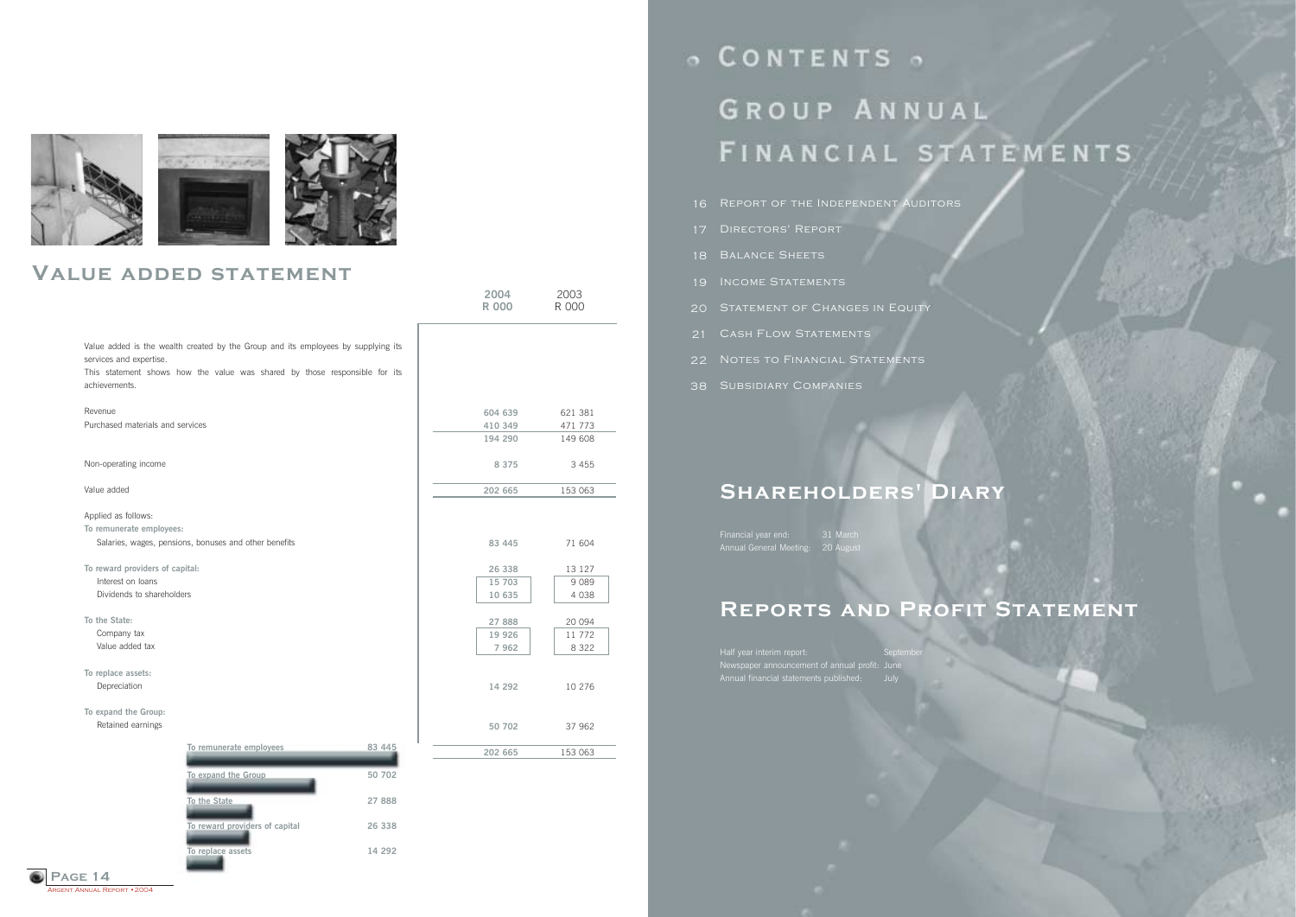RGENT ANNUAL REPORT • 2004 **Page 14**

|                                          |                                                                                                                                                                 |        | 2004<br><b>R 000</b> | 2003<br>R 000 |
|------------------------------------------|-----------------------------------------------------------------------------------------------------------------------------------------------------------------|--------|----------------------|---------------|
| services and expertise.<br>achievements. | Value added is the wealth created by the Group and its employees by supplying its<br>This statement shows how the value was shared by those responsible for its |        |                      |               |
| Revenue                                  |                                                                                                                                                                 |        | 604 639              | 621 381       |
| Purchased materials and services         |                                                                                                                                                                 |        | 410 349              | 471 773       |
|                                          |                                                                                                                                                                 |        | 194 290              | 149 608       |
| Non-operating income                     |                                                                                                                                                                 |        | 8 3 7 5              | 3 4 5 5       |
| Value added                              |                                                                                                                                                                 |        | 202 665              | 153 063       |
| Applied as follows:                      |                                                                                                                                                                 |        |                      |               |
| To remunerate employees:                 |                                                                                                                                                                 |        |                      |               |
|                                          | Salaries, wages, pensions, bonuses and other benefits                                                                                                           |        | 83 445               | 71 604        |
| To reward providers of capital:          |                                                                                                                                                                 |        | 26 338               | 13 127        |
| Interest on loans                        |                                                                                                                                                                 |        | 15 703               | 9089          |
| Dividends to shareholders                |                                                                                                                                                                 |        | 10 635               | 4 0 3 8       |
| To the State:                            |                                                                                                                                                                 |        | 27 888               | 20 094        |
| Company tax                              |                                                                                                                                                                 |        | 19 9 26              | 11 772        |
| Value added tax                          |                                                                                                                                                                 |        | 7962                 | 8 3 2 2       |
| To replace assets:                       |                                                                                                                                                                 |        |                      |               |
| Depreciation                             |                                                                                                                                                                 |        | 14 292               | 10 276        |
| To expand the Group:                     |                                                                                                                                                                 |        |                      |               |
| Retained earnings                        |                                                                                                                                                                 |        | 50 702               | 37 962        |
|                                          | To remunerate employees                                                                                                                                         | 83 445 | 202 665              | 153 063       |
|                                          | To expand the Group                                                                                                                                             | 50 702 |                      |               |
|                                          | To the State                                                                                                                                                    | 27 888 |                      |               |
|                                          | To reward providers of capital                                                                                                                                  | 26 338 |                      |               |

**To replace assets**

**14 292**

o CONTENTS o GROUP ANNUAL FINANCIAL STATEMENTS

- 16 REPORT OF THE INDEPENDENT AUDITORS
- 17 DIRECTORS' REPORT
- 18 BALANCE SHEETS
- 19 INCOME STATEMENTS
- 20 STATEMENT OF CHANGES IN EQUITY
- 21 CASH FLOW STATEMENTS
- 22 Notes to Financial Statements
- 38 SUBSIDIARY COMPANIES

# **Shareholders' Diary**

Financial year end: 31 March Annual General Meeting: 20 August

# **Reports and Profit Statement**

Half year interim report: September Newspaper announcement of annual profit: June Annual financial statements published: July



### **Value added statement**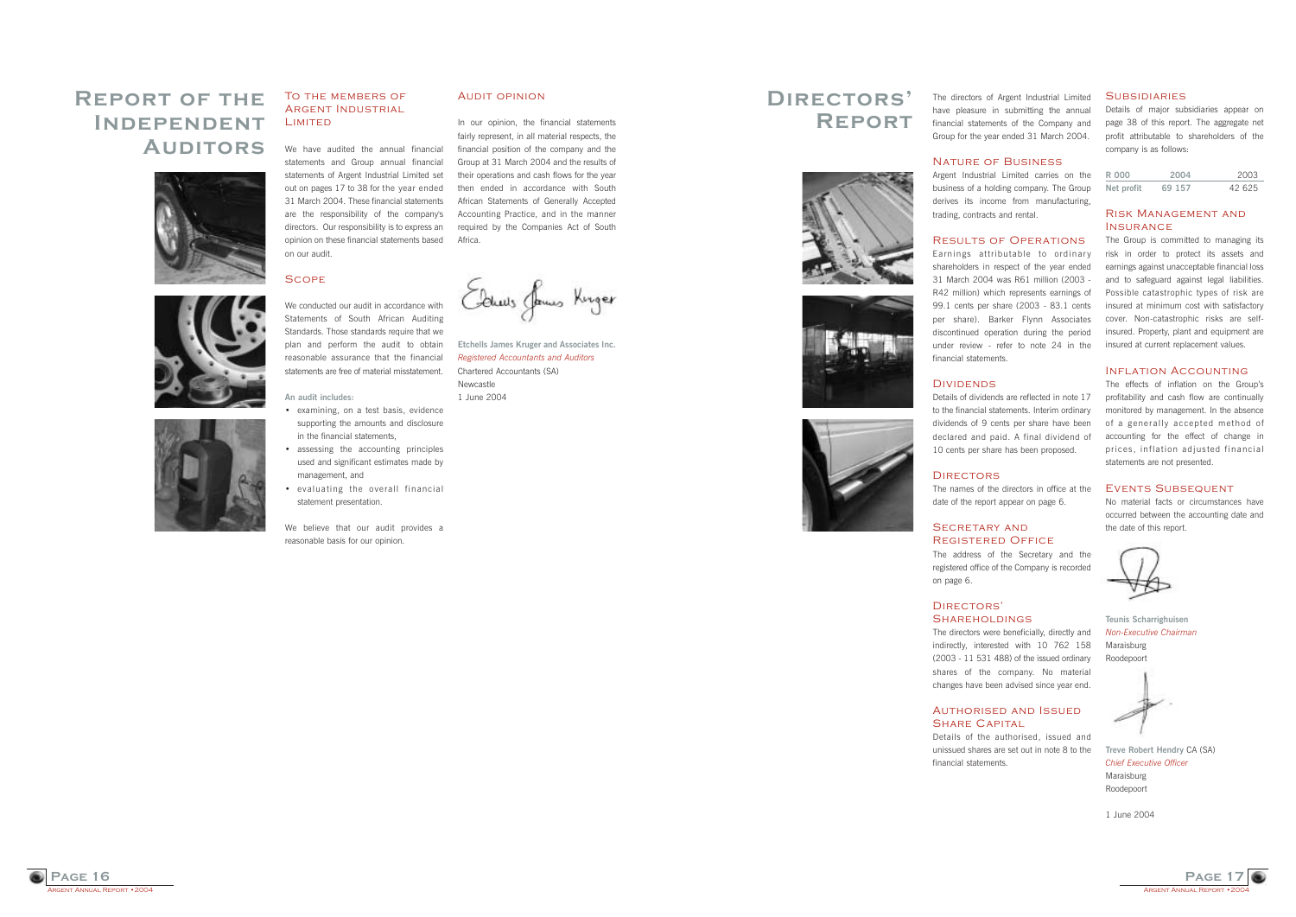**GENT ANNUAL REPORT • 2004 Page 16**

#### To the members of Argent Industrial LIMITED

# **Report of the Independent Auditors**







We have audited the annual financial statements and Group annual financial statements of Argent Industrial Limited set out on pages 17 to 38 for the year ended 31 March 2004. These financial statements are the responsibility of the company's directors. Our responsibility is to express an opinion on these financial statements based on our audit.

#### **SCOPE**

We conducted our audit in accordance with Statements of South African Auditing Standards. Those standards require that we plan and perform the audit to obtain reasonable assurance that the financial statements are free of material misstatement.

- examining, on a test basis, evidence supporting the amounts and disclosure in the financial statements,
- assessing the accounting principles used and significant estimates made by management, and
- evaluating the overall financial statement presentation.

#### **An audit includes:**

We believe that our audit provides a reasonable basis for our opinion.

#### Audit opinion

In our opinion, the financial statements fairly represent, in all material respects, the financial position of the company and the Group at 31 March 2004 and the results of their operations and cash flows for the year then ended in accordance with South African Statements of Generally Accepted Accounting Practice, and in the manner required by the Companies Act of South Africa.

Edwis James Kinger

#### SECRETARY AND Registered Office

### Authorised and Issued SHARE CAPITAL

#### **SUBSIDIARIES**

**Etchells James Kruger and Associates Inc.** *Registered Accountants and Auditors* Chartered Accountants (SA) **Newcastle** 1 June 2004



#### Risk Management and **INSURANCE**

The directors of Argent Industrial Limited have pleasure in submitting the annual financial statements of the Company and Group for the year ended 31 March 2004.

#### Nature of Business

Argent Industrial Limited carries on the business of a holding company. The Group derives its income from manufacturing, trading, contracts and rental.

#### Results of Operations

The effects of inflation on the Group's profitability and cash flow are continually monitored by management. In the absence of a generally accepted method of accounting for the effect of change in prices, inflation adjusted financial statements are not presented.

Earnings attributable to ordinary shareholders in respect of the year ended 31 March 2004 was R61 million (2003 - R42 million) which represents earnings of 99.1 cents per share (2003 - 83.1 cents per share). Barker Flynn Associates discontinued operation during the period under review - refer to note 24 in the financial statements.

#### **DIVIDENDS**

Details of dividends are reflected in note 17 to the financial statements. Interim ordinary dividends of 9 cents per share have been declared and paid. A final dividend of 10 cents per share has been proposed.

The names of the directors in office at the date of the report appear on page 6.

The address of the Secretary and the registered office of the Company is recorded

on page 6.

#### DIRECTORS<sup>'</sup> **SHAREHOLDINGS**

The directors were beneficially, directly and indirectly, interested with 10 762 158 (2003 - 11 531 488) of the issued ordinary shares of the company. No material changes have been advised since year end.

Details of the authorised, issued and unissued shares are set out in note 8 to the financial statements.

Details of major subsidiaries appear on page 38 of this report. The aggregate net profit attributable to shareholders of the company is as follows:

| R 000      | 2004   | 2003   |
|------------|--------|--------|
| Net profit | 69 157 | 42 625 |

The Group is committed to managing its risk in order to protect its assets and earnings against unacceptable financial loss and to safeguard against legal liabilities. Possible catastrophic types of risk are insured at minimum cost with satisfactory cover. Non-catastrophic risks are selfinsured. Property, plant and equipment are insured at current replacement values.

#### INFLATION ACCOUNTING

#### Events Subsequent

No material facts or circumstances have occurred between the accounting date and the date of this report.

**Teunis Scharrighuisen** *Non-Executive Chairman* Maraisburg Roodepoort

**Treve Robert Hendry** CA (SA) *Chief Executive Officer* Maraisburg Roodepoort

1 June 2004

### **Directorsí Report**







# **DIRECTORS**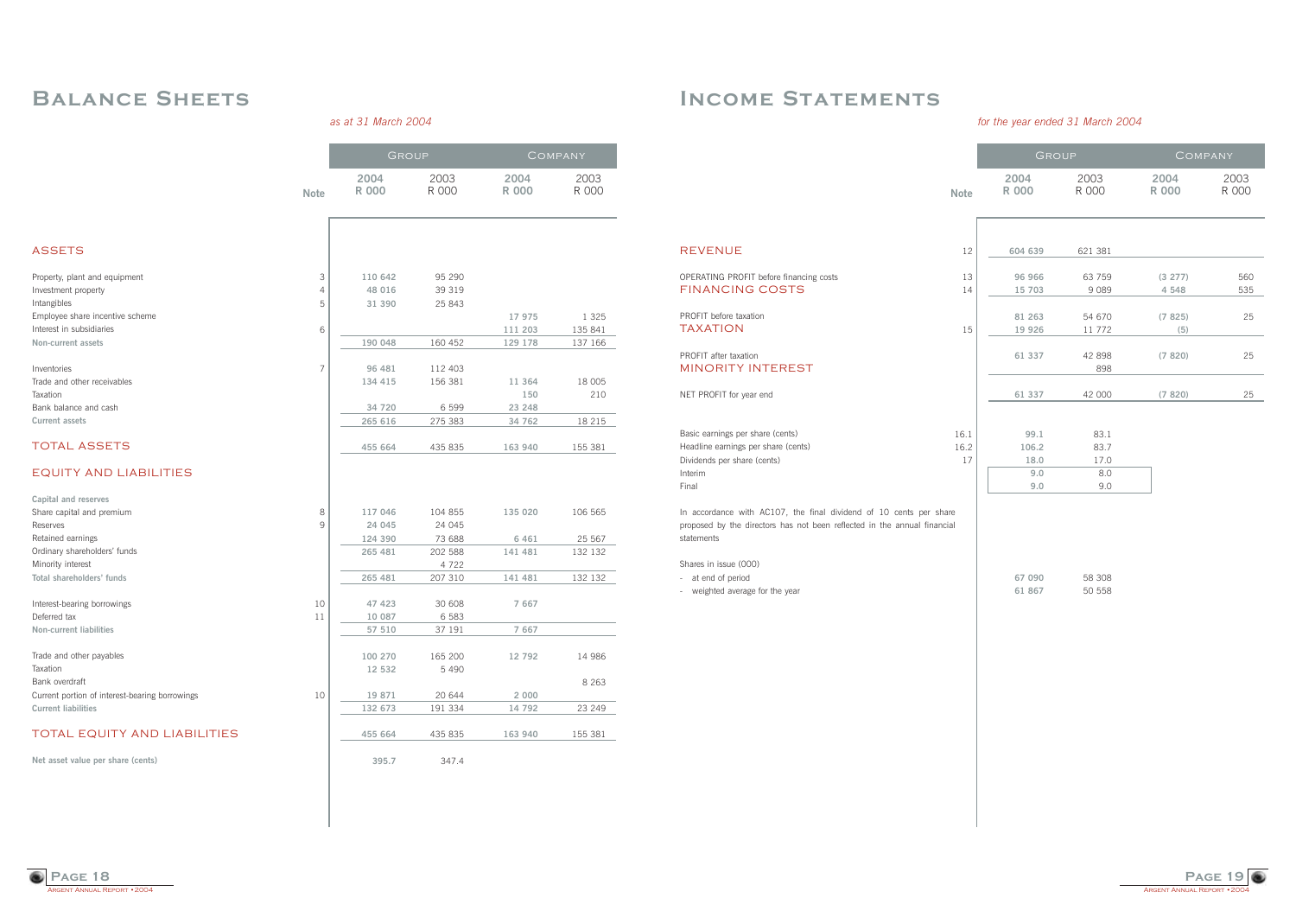

# **Income Statements**

### *for the year ended 31 March 2004*

|                                                                                                                                                              |             | GROUP               |                   | COMPANY            |               |
|--------------------------------------------------------------------------------------------------------------------------------------------------------------|-------------|---------------------|-------------------|--------------------|---------------|
|                                                                                                                                                              | <b>Note</b> | 2004<br><b>R000</b> | 2003<br>R 000     | 2004<br>R 000      | 2003<br>R 000 |
|                                                                                                                                                              |             |                     |                   |                    |               |
| <b>REVENUE</b>                                                                                                                                               | 12          | 604 639             | 621 381           |                    |               |
| OPERATING PROFIT before financing costs<br><b>FINANCING COSTS</b>                                                                                            | 13<br>14    | 96 966<br>15 703    | 63 759<br>9 0 8 9 | (3 277)<br>4 5 4 8 | 560<br>535    |
|                                                                                                                                                              |             |                     |                   |                    |               |
| PROFIT before taxation                                                                                                                                       |             | 81 263              | 54 670            | (7825)             | 25            |
| <b>TAXATION</b>                                                                                                                                              | 15          | 19 9 26             | 11 772            | (5)                |               |
| PROFIT after taxation<br>MINORITY INTEREST                                                                                                                   |             | 61 337              | 42 898<br>898     | (7820)             | 25            |
| NET PROFIT for year end                                                                                                                                      |             | 61 337              | 42 000            | (7820)             | 25            |
|                                                                                                                                                              |             |                     |                   |                    |               |
| Basic earnings per share (cents)                                                                                                                             | 16.1        | 99.1                | 83.1              |                    |               |
| Headline earnings per share (cents)                                                                                                                          | 16.2        | 106.2               | 83.7              |                    |               |
| Dividends per share (cents)                                                                                                                                  | 17          | 18.0                | 17.0              |                    |               |
| Interim                                                                                                                                                      |             | 9.0                 | 8.0               |                    |               |
| Final                                                                                                                                                        |             | 9.0                 | 9.0               |                    |               |
| In accordance with AC107, the final dividend of 10 cents per share<br>proposed by the directors has not been reflected in the annual financial<br>statements |             |                     |                   |                    |               |

Shares in issue (000)

- at end of period

- weighted average for the year

| 67.090 | 58.308 |
|--------|--------|
| 61867  | 50 558 |



# **Balance Sheets**

| as at 31 March 2004 |  |
|---------------------|--|
|---------------------|--|

|                                                |                | GROUP                |               |               | COMPANY       |  |
|------------------------------------------------|----------------|----------------------|---------------|---------------|---------------|--|
|                                                | <b>Note</b>    | 2004<br><b>R 000</b> | 2003<br>R 000 | 2004<br>R 000 | 2003<br>R 000 |  |
|                                                |                |                      |               |               |               |  |
| <b>ASSETS</b>                                  |                |                      |               |               |               |  |
| Property, plant and equipment                  | 3              | 110 642              | 95 290        |               |               |  |
| Investment property                            | 4              | 48 016               | 39 319        |               |               |  |
| Intangibles                                    | 5              | 31 390               | 25 843        |               |               |  |
| Employee share incentive scheme                |                |                      |               | 17 975        | 1 3 2 5       |  |
| Interest in subsidiaries                       | 6              |                      |               | 111 203       | 135 841       |  |
| Non-current assets                             |                | 190 048              | 160 452       | 129 178       | 137 166       |  |
| Inventories                                    | $\overline{7}$ | 96 481               | 112 403       |               |               |  |
| Trade and other receivables                    |                | 134 415              | 156 381       | 11 364        | 18 005        |  |
| Taxation                                       |                |                      |               | 150           | 210           |  |
| Bank balance and cash                          |                | 34 720               | 6 5 9 9       | 23 248        |               |  |
| Current assets                                 |                | 265 616              | 275 383       | 34 762        | 18 215        |  |
| <b>TOTAL ASSETS</b>                            |                | 455 664              | 435 835       | 163 940       | 155 381       |  |
| <b>EQUITY AND LIABILITIES</b>                  |                |                      |               |               |               |  |
| Capital and reserves                           |                |                      |               |               |               |  |
| Share capital and premium                      | 8              | 117 046              | 104 855       | 135 020       | 106 565       |  |
| <b>Reserves</b>                                | 9              | 24 045               | 24 045        |               |               |  |
| Retained earnings                              |                | 124 390              | 73 688        | 6 4 6 1       | 25 567        |  |
| Ordinary shareholders' funds                   |                | 265 481              | 202 588       | 141 481       | 132 132       |  |
| Minority interest                              |                |                      | 4 7 2 2       |               |               |  |
| Total shareholders' funds                      |                | 265 481              | 207 310       | 141 481       | 132 132       |  |
| Interest-bearing borrowings                    | 10             | 47 423               | 30 608        | 7 6 6 7       |               |  |
| Deferred tax                                   | 11             | 10 087               | 6 5 8 3       |               |               |  |
| <b>Non-current liabilities</b>                 |                | 57 510               | 37 191        | 7 6 6 7       |               |  |
| Trade and other payables                       |                | 100 270              | 165 200       | 12 792        | 14 986        |  |
| Taxation                                       |                | 12 532               | 5 4 9 0       |               |               |  |
| Bank overdraft                                 |                |                      |               |               | 8 2 6 3       |  |
| Current portion of interest-bearing borrowings | 10             | 19 871               | 20 644        | 2 0 0 0       |               |  |
| <b>Current liabilities</b>                     |                | 132 673              | 191 334       | 14 792        | 23 249        |  |
| TOTAL EQUITY AND LIABILITIES                   |                | 455 664              | 435 835       | 163 940       | 155 381       |  |
| Net asset value per share (cents)              |                | 395.7                | 347.4         |               |               |  |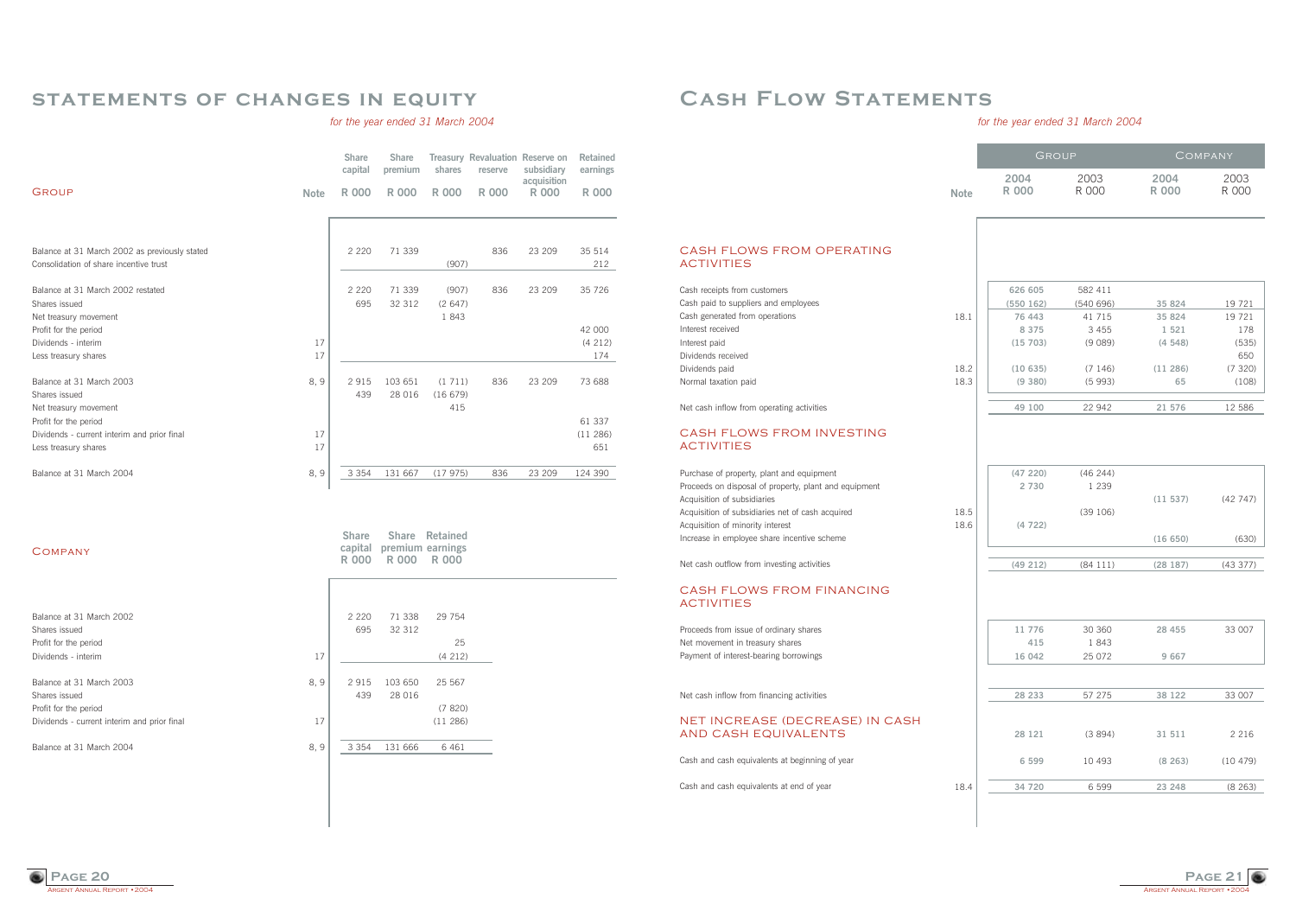ARGENT ANNUAL REPORT • 2004 **Page 21**

# **Cash Flow Statements**

### *for the year ended 31 March 2004*

#### CASH FLOWS FROM OPERATING ACTIVITIES

Argent Annual Report • 2004 **Page 20**

|                                                                                                                                                                                                                                                                          |              | GROUP                                     |                                          | <b>COMPANY</b>                        |                                         |
|--------------------------------------------------------------------------------------------------------------------------------------------------------------------------------------------------------------------------------------------------------------------------|--------------|-------------------------------------------|------------------------------------------|---------------------------------------|-----------------------------------------|
|                                                                                                                                                                                                                                                                          | <b>Note</b>  | 2004<br><b>R 000</b>                      | 2003<br>R 000                            | 2004<br><b>R 000</b>                  | 2003<br>R 000                           |
| <b>CASH FLOWS FROM OPERATING</b><br><b>ACTIVITIES</b><br>Cash receipts from customers                                                                                                                                                                                    |              | 626 605                                   | 582 411                                  |                                       |                                         |
| Cash paid to suppliers and employees<br>Cash generated from operations<br>Interest received<br>Interest paid<br>Dividends received                                                                                                                                       | 18.1         | (550 162)<br>76 443<br>8 3 7 5<br>(15703) | (540696)<br>41 715<br>3 4 5 5<br>(9 089) | 35 824<br>35 824<br>1 5 2 1<br>(4548) | 19 721<br>19 721<br>178<br>(535)<br>650 |
| Dividends paid<br>Normal taxation paid                                                                                                                                                                                                                                   | 18.2<br>18.3 | (10635)<br>(9 380)                        | (7146)<br>(5993)                         | (11286)<br>65                         | (7320)<br>(108)                         |
| Net cash inflow from operating activities<br><b>CASH FLOWS FROM INVESTING</b><br><b>ACTIVITIES</b>                                                                                                                                                                       |              | 49 100                                    | 22 942                                   | 21 576                                | 12 586                                  |
| Purchase of property, plant and equipment<br>Proceeds on disposal of property, plant and equipment<br>Acquisition of subsidiaries<br>Acquisition of subsidiaries net of cash acquired<br>Acquisition of minority interest<br>Increase in employee share incentive scheme | 18.5<br>18.6 | (47220)<br>2 7 3 0<br>(4722)              | (46 244)<br>1 2 3 9<br>(39 106)          | (11 537)<br>(16650)                   | (42747)<br>(630)                        |
| Net cash outflow from investing activities                                                                                                                                                                                                                               |              | (49 212)                                  | (84111)                                  | (28187)                               | (43377)                                 |
| <b>CASH FLOWS FROM FINANCING</b><br><b>ACTIVITIES</b>                                                                                                                                                                                                                    |              |                                           |                                          |                                       |                                         |
| Proceeds from issue of ordinary shares<br>Net movement in treasury shares<br>Payment of interest-bearing borrowings                                                                                                                                                      |              | 11 776<br>415<br>16 042                   | 30 360<br>1843<br>25 072                 | 28 455<br>9 6 6 7                     | 33 007                                  |
| Net cash inflow from financing activities                                                                                                                                                                                                                                |              | 28 233                                    | 57 275                                   | 38 122                                | 33 007                                  |
| NET INCREASE (DECREASE) IN CASH<br>AND CASH EQUIVALENTS                                                                                                                                                                                                                  |              | 28 121                                    | (3894)                                   | 31 511                                | 2 2 1 6                                 |
| Cash and cash equivalents at beginning of year                                                                                                                                                                                                                           |              | 6 5 9 9                                   | 10 493                                   | (8263)                                | (10479)                                 |
| Cash and cash equivalents at end of year                                                                                                                                                                                                                                 | 18.4         | 34 720                                    | 6 5 9 9                                  | 23 248                                | (8263)                                  |

| Purchase of property, plant and equipment             |  |
|-------------------------------------------------------|--|
| Proceeds on disposal of property, plant and equipment |  |
| Acquisition of subsidiaries                           |  |
| Acquisition of subsidiaries net of cash acquired      |  |
| Acquisition of minority interest                      |  |
| Increase in employee share incentive scheme           |  |

### **statements of changes in equity**

### *for the year ended 31 March 2004*

| subsidiary<br>earnings<br>acquisition |
|---------------------------------------|
| <b>R 000</b><br><b>R 000</b>          |
|                                       |
|                                       |
| 23 209<br>35 514<br>212               |
|                                       |
| 23 209<br>35 7 26                     |
|                                       |
|                                       |
| 42 000                                |
| (4 212)                               |
| 174                                   |
| 73 688                                |
|                                       |
|                                       |
| 61 337                                |
| (11286)                               |
| 651                                   |
| 124 390                               |
| 23 209<br>23 209                      |

**COMPANY** 

| Balance at 31 March 2002<br>Shares issued   |     | 2 2 2 0<br>695 | 71 338<br>32 312 | 29 754  |
|---------------------------------------------|-----|----------------|------------------|---------|
| Profit for the period                       |     |                |                  | 25      |
| Dividends - interim                         | 17  |                |                  | (4212)  |
|                                             |     |                |                  |         |
| Balance at 31 March 2003                    | 8.9 | 2915           | 103 650          | 25 567  |
| Shares issued                               |     | 439            | 28 016           |         |
| Profit for the period                       |     |                |                  | (7820)  |
| Dividends - current interim and prior final | 17  |                |                  | (11286) |
|                                             |     |                |                  |         |
| Balance at 31 March 2004                    | 8.9 | 3 3 5 4        | 131 666          | 6 4 6 1 |
|                                             |     |                |                  |         |
|                                             |     |                |                  |         |

**Share Share Retained capital premium earnings R 000 R 000 R 000**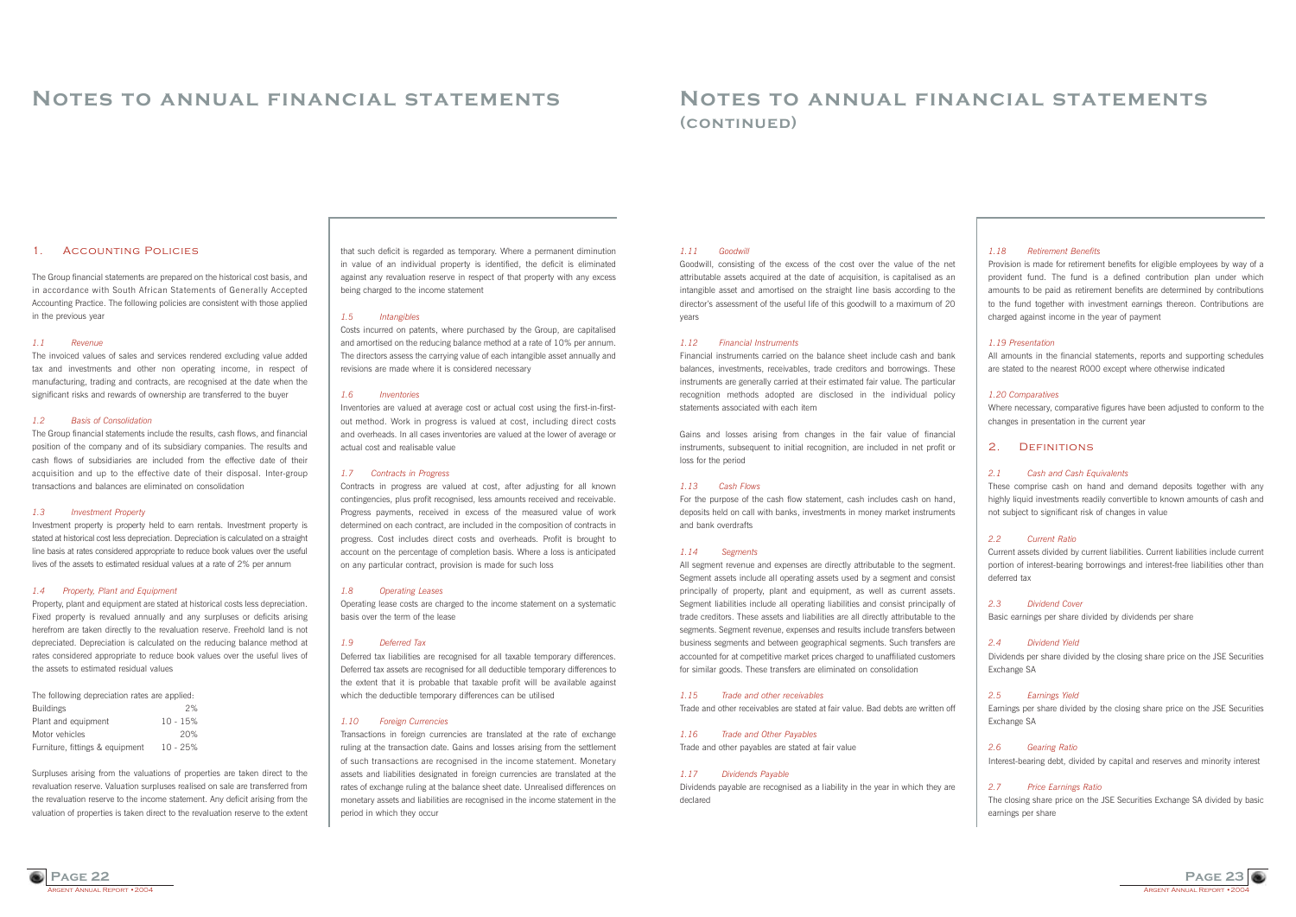**Page 22**

### **Notes to annual financial statements**

#### 1. Accounting Policies

The Group financial statements are prepared on the historical cost basis, and in accordance with South African Statements of Generally Accepted Accounting Practice. The following policies are consistent with those applied in the previous year

#### *1.1 Revenue*

The invoiced values of sales and services rendered excluding value added tax and investments and other non operating income, in respect of manufacturing, trading and contracts, are recognised at the date when the significant risks and rewards of ownership are transferred to the buyer

#### *1.2 Basis of Consolidation*

The Group financial statements include the results, cash flows, and financial position of the company and of its subsidiary companies. The results and cash flows of subsidiaries are included from the effective date of their acquisition and up to the effective date of their disposal. Inter-group transactions and balances are eliminated on consolidation

#### *1.3 Investment Property*

Investment property is property held to earn rentals. Investment property is stated at historical cost less depreciation. Depreciation is calculated on a straight line basis at rates considered appropriate to reduce book values over the useful lives of the assets to estimated residual values at a rate of 2% per annum

#### *1.4 Property, Plant and Equipment*

Property, plant and equipment are stated at historical costs less depreciation. Fixed property is revalued annually and any surpluses or deficits arising herefrom are taken directly to the revaluation reserve. Freehold land is not depreciated. Depreciation is calculated on the reducing balance method at rates considered appropriate to reduce book values over the useful lives of the assets to estimated residual values

| The following depreciation rates are applied. |            |
|-----------------------------------------------|------------|
| <b>Buildings</b>                              | 2%         |
| Plant and equipment                           | $10 - 15%$ |
| Motor vehicles                                | 20%        |
| Furniture, fittings & equipment               | $10 - 25%$ |

**GENT ANNUAL REPORT • 2004** 

Surpluses arising from the valuations of properties are taken direct to the revaluation reserve. Valuation surpluses realised on sale are transferred from the revaluation reserve to the income statement. Any deficit arising from the valuation of properties is taken direct to the revaluation reserve to the extent

> ARGENT ANNUAL REPORT • 2004 **Page 23**

that such deficit is regarded as temporary. Where a permanent diminution in value of an individual property is identified, the deficit is eliminated against any revaluation reserve in respect of that property with any excess being charged to the income statement

#### *1.5 Intangibles*

Costs incurred on patents, where purchased by the Group, are capitalised and amortised on the reducing balance method at a rate of 10% per annum. The directors assess the carrying value of each intangible asset annually and revisions are made where it is considered necessary

#### *1.6 Inventories*

Inventories are valued at average cost or actual cost using the first-in-firstout method. Work in progress is valued at cost, including direct costs and overheads. In all cases inventories are valued at the lower of average or actual cost and realisable value

#### *1.7 Contracts in Progress*

Contracts in progress are valued at cost, after adjusting for all known contingencies, plus profit recognised, less amounts received and receivable. Progress payments, received in excess of the measured value of work determined on each contract, are included in the composition of contracts in progress. Cost includes direct costs and overheads. Profit is brought to account on the percentage of completion basis. Where a loss is anticipated on any particular contract, provision is made for such loss

#### *1.8 Operating Leases*

Operating lease costs are charged to the income statement on a systematic basis over the term of the lease

#### *1.9 Deferred Tax*

Deferred tax liabilities are recognised for all taxable temporary differences. Deferred tax assets are recognised for all deductible temporary differences to the extent that it is probable that taxable profit will be available against which the deductible temporary differences can be utilised

#### *1.10 Foreign Currencies*

Transactions in foreign currencies are translated at the rate of exchange ruling at the transaction date. Gains and losses arising from the settlement of such transactions are recognised in the income statement. Monetary assets and liabilities designated in foreign currencies are translated at the rates of exchange ruling at the balance sheet date. Unrealised differences on monetary assets and liabilities are recognised in the income statement in the period in which they occur

### **Notes to annual financial statements (continued)**

#### *1.11 Goodwill*

Goodwill, consisting of the excess of the cost over the value of the net attributable assets acquired at the date of acquisition, is capitalised as an intangible asset and amortised on the straight line basis according to the directorís assessment of the useful life of this goodwill to a maximum of 20 years

#### *1.12 Financial Instruments*

Financial instruments carried on the balance sheet include cash and bank balances, investments, receivables, trade creditors and borrowings. These instruments are generally carried at their estimated fair value. The particular recognition methods adopted are disclosed in the individual policy statements associated with each item

Gains and losses arising from changes in the fair value of financial instruments, subsequent to initial recognition, are included in net profit or loss for the period

#### *1.13 Cash Flows*

For the purpose of the cash flow statement, cash includes cash on hand, deposits held on call with banks, investments in money market instruments and bank overdrafts

#### *1.14 Segments*

All segment revenue and expenses are directly attributable to the segment. Segment assets include all operating assets used by a segment and consist principally of property, plant and equipment, as well as current assets. Segment liabilities include all operating liabilities and consist principally of trade creditors. These assets and liabilities are all directly attributable to the segments. Segment revenue, expenses and results include transfers between business segments and between geographical segments. Such transfers are accounted for at competitive market prices charged to unaffiliated customers for similar goods. These transfers are eliminated on consolidation

#### *1.15 Trade and other receivables*

Trade and other receivables are stated at fair value. Bad debts are written off

*1.16 Trade and Other Payables*

Trade and other payables are stated at fair value

#### *1.17 Dividends Payable*

Dividends payable are recognised as a liability in the year in which they are declared

#### *1.18 Retirement Benefits*

Provision is made for retirement benefits for eligible employees by way of a provident fund. The fund is a defined contribution plan under which amounts to be paid as retirement benefits are determined by contributions to the fund together with investment earnings thereon. Contributions are charged against income in the year of payment

#### *1.19 Presentation*

All amounts in the financial statements, reports and supporting schedules are stated to the nearest R000 except where otherwise indicated

#### *1.20 Comparatives*

Where necessary, comparative figures have been adjusted to conform to the changes in presentation in the current year

### 2. Definitions

#### *2.1 Cash and Cash Equivalents*

These comprise cash on hand and demand deposits together with any highly liquid investments readily convertible to known amounts of cash and not subject to significant risk of changes in value

#### *2.2 Current Ratio*

Current assets divided by current liabilities. Current liabilities include current portion of interest-bearing borrowings and interest-free liabilities other than deferred tax

#### *2.3 Dividend Cover*

Basic earnings per share divided by dividends per share

#### *2.4 Dividend Yield*

Dividends per share divided by the closing share price on the JSE Securities Exchange SA

#### *2.5 Earnings Yield*

Earnings per share divided by the closing share price on the JSE Securities Exchange SA

#### *2.6 Gearing Ratio*

Interest-bearing debt, divided by capital and reserves and minority interest

#### *2.7 Price Earnings Ratio*

The closing share price on the JSE Securities Exchange SA divided by basic earnings per share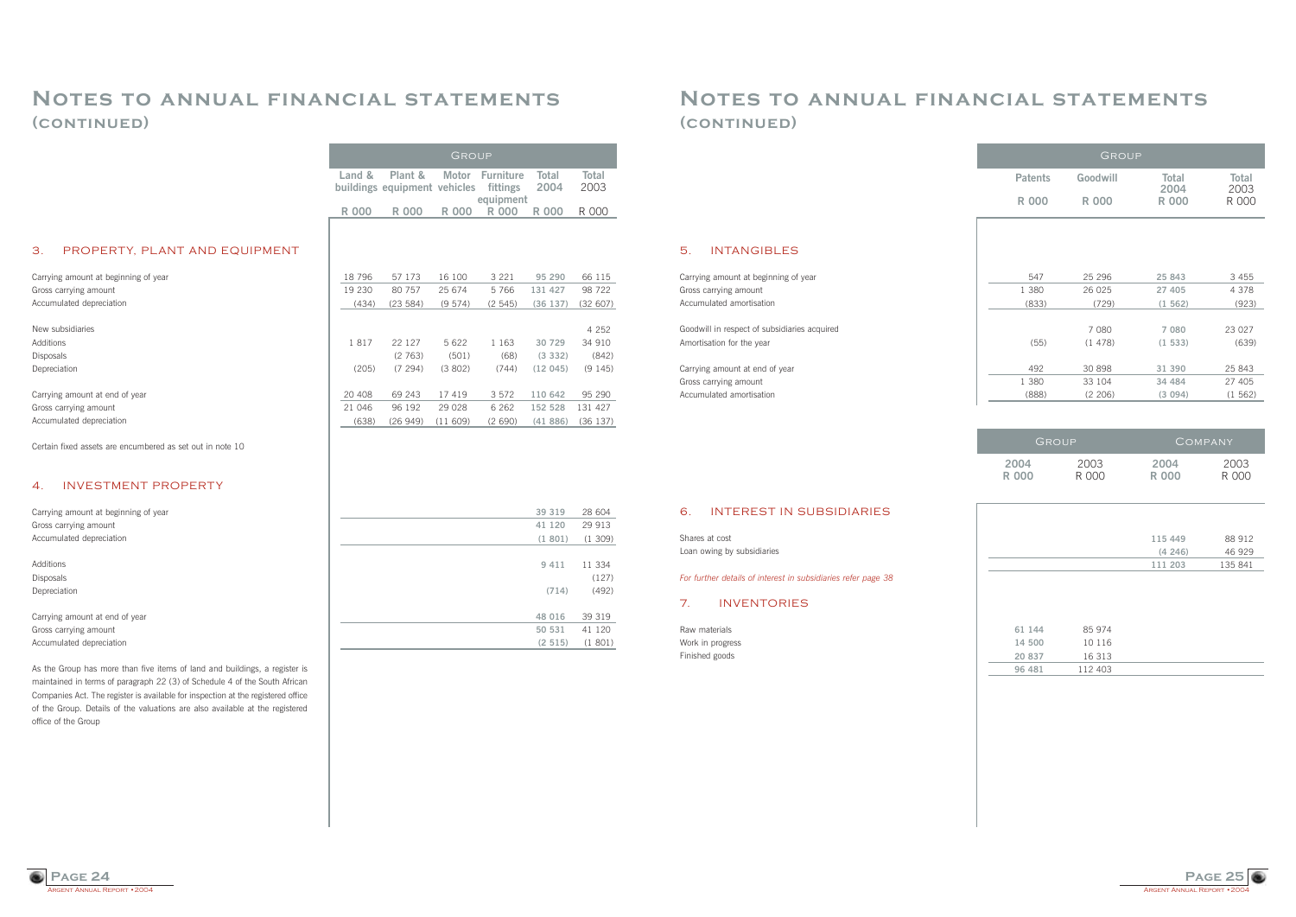

### **Notes to annual financial statements (continued)**

#### 5. INTANGIBLES

Carrying amount at beginning of year Gross carrying amount Accumulated amortisation

Goodwill in respect of subsidiaries acquired Amortisation for the year

Carrying amount at end of year Gross carrying amount Accumulated amortisation

#### 6. INTEREST IN SUBSIDIARIES

Shares at cost Loan owing by subsidiaries

*For further details of interest in subsidiaries refer page 38*

#### 7. INVENTORIES

Raw materials Work in progress Finished goods

| 547   | 25 29 6 | 25 843  | 3455    |
|-------|---------|---------|---------|
| 1 380 | 26 025  | 27 405  | 4 3 7 8 |
| (833) | (729)   | (1562)  | (923)   |
|       |         |         |         |
|       | 7 080   | 7 0 8 0 | 23 0 27 |
| (55)  | (1478)  | (1533)  | (639)   |
|       |         |         |         |
| 492   | 30 898  | 31 390  | 25 843  |
| 1 380 | 33 104  | 34 484  | 27 405  |
| (888) | (2 206) | (3 094) | (1562)  |
|       |         |         |         |

| 61 144 | 85 974  |  |
|--------|---------|--|
| 14 500 | 10 116  |  |
| 20 837 | 16 313  |  |
| 96 481 | 112 403 |  |



### **Notes to annual financial statements (continued)**

Certain fixed assets are encumbered as set out in note 10

#### 4. INVESTMENT PROPERTY

As the Group has more than five items of land and buildings, a register is maintained in terms of paragraph 22 (3) of Schedule 4 of the South African Companies Act. The register is available for inspection at the registered office of the Group. Details of the valuations are also available at the registered

| GROUP         |               | COMPANY       |
|---------------|---------------|---------------|
| 2003<br>R 000 | 2004<br>R 000 | 2003<br>R 000 |
|               |               |               |
|               | 115 449       | 88 912        |
|               | (4246)        | 46 929        |
|               | 111 203       | 135 841       |
|               |               |               |

|                                      | Land &      | Plant &                      | Motor   | <b>Furniture</b>      | Total   | Total   |
|--------------------------------------|-------------|------------------------------|---------|-----------------------|---------|---------|
|                                      |             | buildings equipment vehicles |         | fittings<br>equipment | 2004    | 2003    |
|                                      | <b>R000</b> | <b>R000</b>                  | R 000   | R 000                 | R 000   | R 000   |
|                                      |             |                              |         |                       |         |         |
| 3.<br>PROPERTY, PLANT AND EQUIPMENT  |             |                              |         |                       |         |         |
| Carrying amount at beginning of year | 18 796      | 57 173                       | 16 100  | 3 2 2 1               | 95 290  | 66 115  |
| Gross carrying amount                | 19 230      | 80 757                       | 25 674  | 5766                  | 131 427 | 98 722  |
| Accumulated depreciation             | (434)       | (23 584)                     | (9574)  | (2545)                | (36137) | (32607) |
|                                      |             |                              |         |                       |         |         |
| New subsidiaries                     |             |                              |         |                       |         | 4 2 5 2 |
| Additions                            | 1817        | 22 127                       | 5 6 2 2 | 1 1 6 3               | 30 729  | 34 910  |
| <b>Disposals</b>                     |             | (2763)                       | (501)   | (68)                  | (3 332) | (842)   |
| Depreciation                         | (205)       | (7294)                       | (3802)  | (744)                 | (12045) | (9145)  |
|                                      |             |                              |         |                       |         |         |
| Carrying amount at end of year       | 20 408      | 69 243                       | 17 419  | 3 5 7 2               | 110 642 | 95 290  |
| Gross carrying amount                | 21 046      | 96 192                       | 29 0 28 | 6 2 6 2               | 152 528 | 131 427 |
| Accumulated depreciation             | (638)       | (26949)                      | (11609) | (2690)                | (41886) | (36137) |
|                                      |             |                              |         |                       |         |         |

office of the Group

| Carrying amount at beginning of year | 39 319  | 28 604 |
|--------------------------------------|---------|--------|
| Gross carrying amount                | 41 120  | 29 913 |
| Accumulated depreciation             | (1801)  | (1309) |
|                                      |         |        |
| Additions                            | 9 4 1 1 | 11 334 |
| <b>Disposals</b>                     |         | (127)  |
| Depreciation                         | (714)   | (492)  |
|                                      |         |        |
| Carrying amount at end of year       | 48 016  | 39 319 |
| Gross carrying amount                | 50 531  | 41 120 |
| Accumulated depreciation             | (2515)  | (1801) |

Group

|                | GROUP    |                      |                      |
|----------------|----------|----------------------|----------------------|
| <b>Patents</b> | Goodwill | <b>Total</b><br>2004 | <b>Total</b><br>2003 |
| R 000          | R 000    | R 000                | R 000                |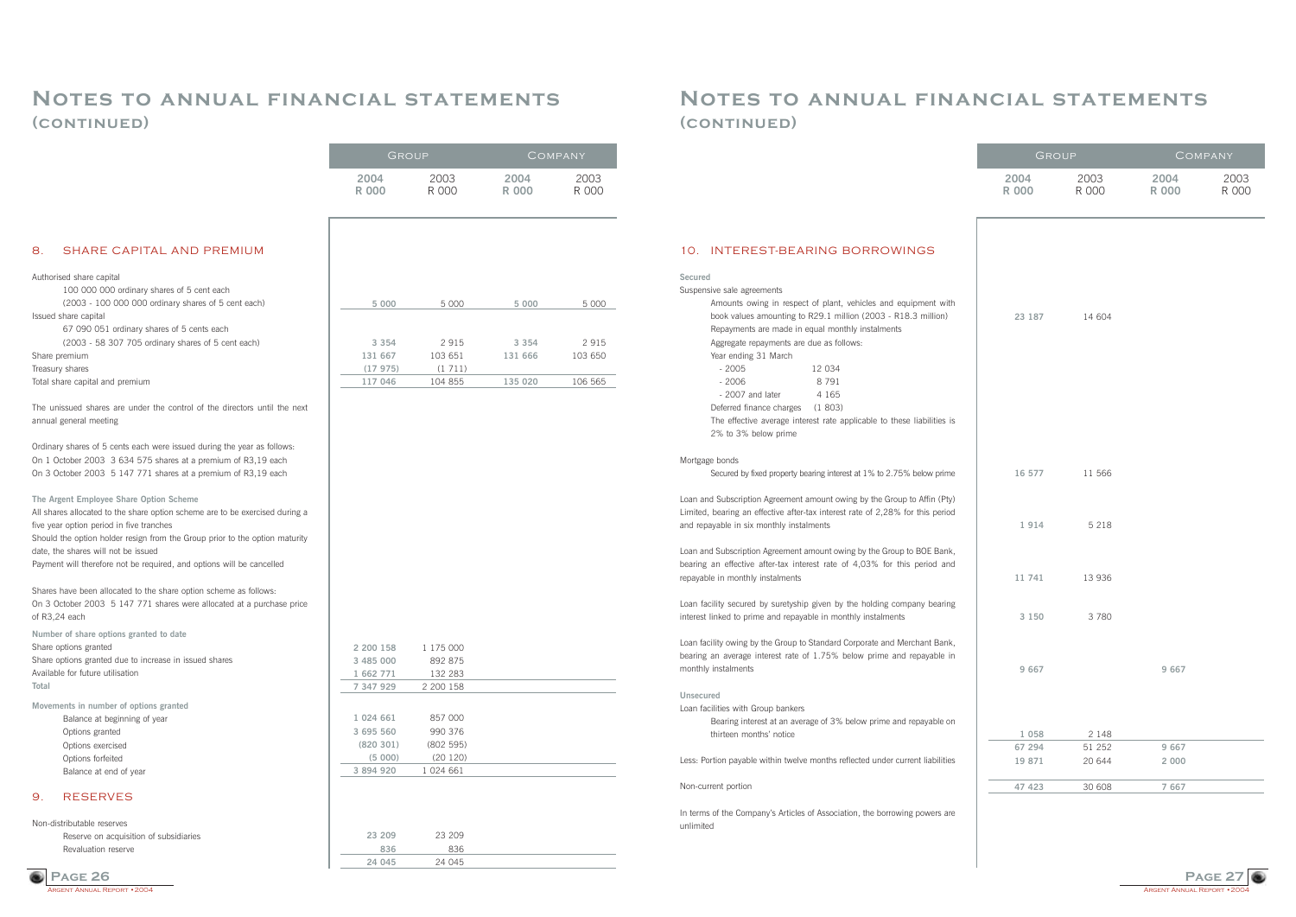ARGENT ANNUAL REPORT  $\cdot$  200 **Page 27**

### **Notes to annual financial statements (continued)**

### 10. INTEREST-BEARING BORROWINGS

| Secured                                                                        |  |  |  |  |  |  |
|--------------------------------------------------------------------------------|--|--|--|--|--|--|
| Suspensive sale agreements                                                     |  |  |  |  |  |  |
| Amounts owing in respect of plant, vehicles and equipment with                 |  |  |  |  |  |  |
| book values amounting to R29.1 million (2003 - R18.3 million)                  |  |  |  |  |  |  |
| Repayments are made in equal monthly instalments                               |  |  |  |  |  |  |
| Aggregate repayments are due as follows:                                       |  |  |  |  |  |  |
| Year ending 31 March                                                           |  |  |  |  |  |  |
| $-2005$<br>12 034                                                              |  |  |  |  |  |  |
| 8791<br>$-2006$                                                                |  |  |  |  |  |  |
| - 2007 and later 4 165                                                         |  |  |  |  |  |  |
| Deferred finance charges (1803)                                                |  |  |  |  |  |  |
| The effective average interest rate applicable to these liabilities is         |  |  |  |  |  |  |
| 2% to 3% below prime                                                           |  |  |  |  |  |  |
|                                                                                |  |  |  |  |  |  |
| Mortgage bonds                                                                 |  |  |  |  |  |  |
| Secured by fixed property bearing interest at 1% to 2.75% below prime          |  |  |  |  |  |  |
| Loan and Subscription Agreement amount owing by the Group to Affin (Pty)       |  |  |  |  |  |  |
| Limited, bearing an effective after-tax interest rate of 2,28% for this period |  |  |  |  |  |  |
| and repayable in six monthly instalments                                       |  |  |  |  |  |  |
|                                                                                |  |  |  |  |  |  |
| Loan and Subscription Agreement amount owing by the Group to BOE Bank,         |  |  |  |  |  |  |
| bearing an effective after-tax interest rate of 4,03% for this period and      |  |  |  |  |  |  |
| repayable in monthly instalments                                               |  |  |  |  |  |  |
|                                                                                |  |  |  |  |  |  |

Bearing interest at an average of 3% below prime and repayable on thirteen months' notice

In terms of the Company's Articles of Association, the borrowing powers are unlimited

Loan facility secured by suretyship given by the holding company bearing interest linked to prime and repayable in monthly instalments

Loan facility owing by the Group to Standard Corporate and Merchant Bank, bearing an average interest rate of 1.75% below prime and repayable in monthly instalments

#### **Unsecured**

Loan facilities with Group bankers

Less: Portion payable within twelve months reflected under current liabilities

#### Non-current portion



### **Notes to annual financial statements (continued)**

### 8. SHARE CAPITAL AND PREMIUM

#### Authorised share capital

100 000 000 ordinary shares of 5 cent each

(2003 - 100 000 000 ordinary shares of 5 cent each) Issued share capital

67 090 051 ordinary shares of 5 cents each

(2003 - 58 307 705 ordinary shares of 5 cent each)

Share premium

Treasury shares

Total share capital and premium

The unissued shares are under the control of the directors until the next annual general meeting

Ordinary shares of 5 cents each were issued during the year as follows: On 1 October 2003 3 634 575 shares at a premium of R3,19 each On 3 October 2003 5 147 771 shares at a premium of R3,19 each

**The Argent Employee Share Option Scheme** 

All shares allocated to the share option scheme are to be exercised during a five year option period in five tranches Should the option holder resign from the Group prior to the option maturity date, the shares will not be issued

| <b>GROUP</b>         |                     | COMPANY              |               |  |  |  |
|----------------------|---------------------|----------------------|---------------|--|--|--|
| 2004<br><b>R 000</b> | 2003<br><b>R000</b> | 2004<br><b>R 000</b> | 2003<br>R 000 |  |  |  |
|                      | 23 187 14 604       |                      |               |  |  |  |
|                      | 16 577 11 566       |                      |               |  |  |  |
| 1914                 | 5 2 1 8             |                      |               |  |  |  |
| 11 741               | 13 936              |                      |               |  |  |  |
| 3 1 5 0              | 3780                |                      |               |  |  |  |
| 9 6 6 7              |                     | 9 6 6 7              |               |  |  |  |
|                      |                     |                      |               |  |  |  |
| 1 0 5 8<br>67 294    | 2 1 4 8<br>51 252   | 9 6 6 7              |               |  |  |  |
| 19 871               | 20 644              | 2 0 0 0              |               |  |  |  |
| 47 423               | 30 608              | 7 6 6 7              |               |  |  |  |

Payment will therefore not be required, and options will be cancelled

Shares have been allocated to the share option scheme as follows: On 3 October 2003 5 147 771 shares were allocated at a purchase price of R3,24 each

**Number of share options granted to date**  Share options granted Share options granted due to increase in issued shares Available for future utilisation

**Total** 

**Movements in number of options granted**

- Balance at beginning of year Options granted
- Options exercised
- Options forfeited
- Balance at end of year

### 9. RESERVES

Non-distributable reserves Reserve on acquisition of subsidiaries Revaluation reserve

| 5 0 0 0 | 5 0 0 0 | 5 0 0 0 | 5 0 0 0 |
|---------|---------|---------|---------|
|         |         |         |         |
| 3 3 5 4 | 2915    | 3 3 5 4 | 2915    |
| 131 667 | 103 651 | 131 666 | 103 650 |
| (17975) | (1711)  |         |         |
| 117 046 | 104 855 | 135 020 | 106 565 |

# **2 200 158** 1 175 000 **3 485 000** 892 875 **1 662 771** 132 283 **7 347 929** 2 200 158 **1 024 661** 857 000 **3 695 560** 990 376 **(820 301)** (802 595) **(5 000)** (20 120) **3 894 920** 1 024 661

### **23 209** 23 209 **836** 836 **24 045** 24 045

|       | COMPANY<br>GROUP |       |       |
|-------|------------------|-------|-------|
| 2004  | 2003             | 2004  | 2003  |
| R 000 | R NNN            | R 000 | R NNN |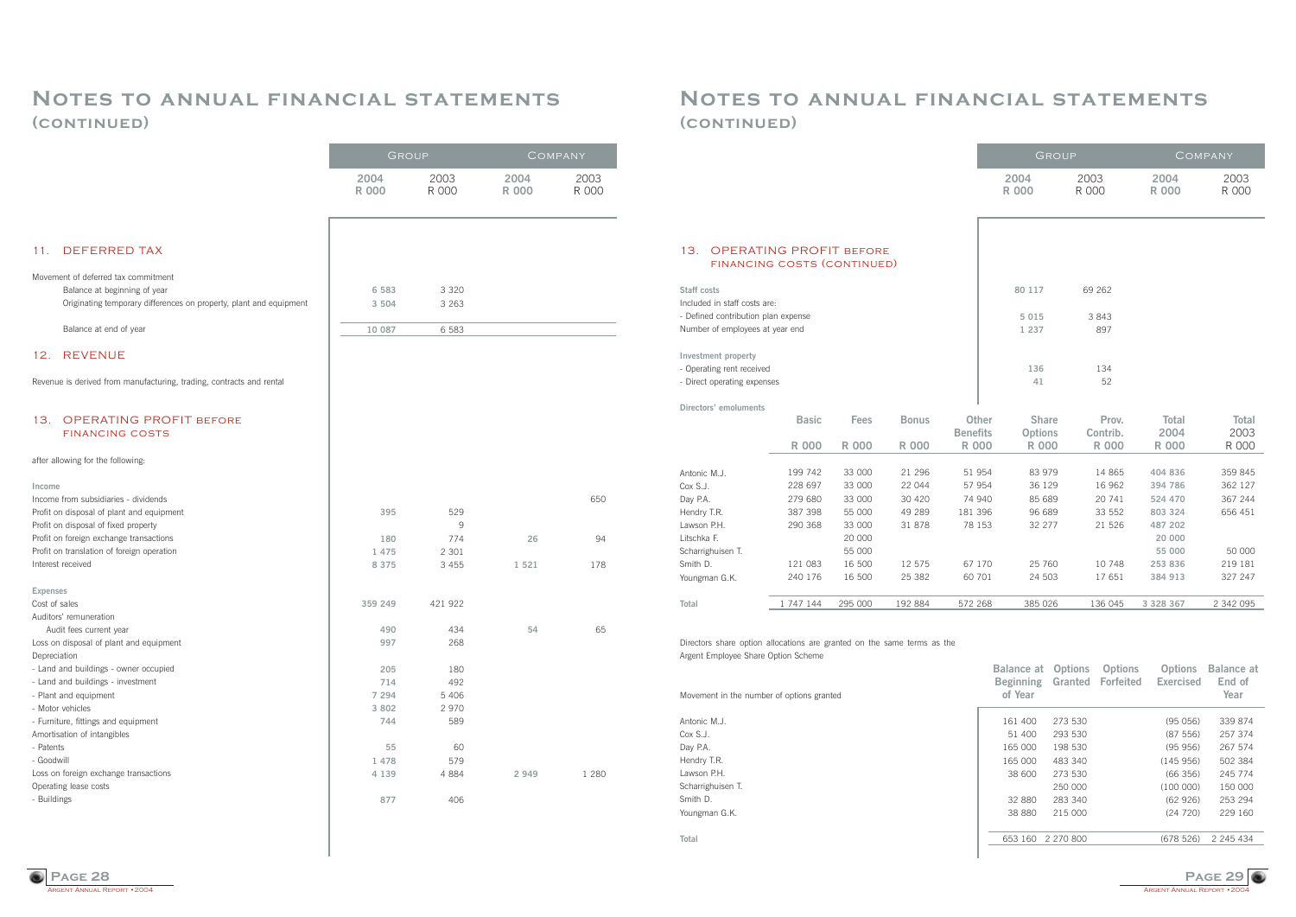

 $(100 000)$  150 000

### **Notes to annual financial statements (continued)**

Cox S.J. Day P.A. Hendry T.R. Lawson P.H. Scharrighuisen T. Smith D.

Youngman G.K.

**Total**

165 000 198 530 (95 956) 267 574 165 000 483 340 (145 956) 502 384 38 600 273 530 (66 356) 245 774

32 880 283 340 (62 926) 253 294 38 880 215 000 (24 720) 229 160

653 160 2 270 800 (678 526) 2 245 434

### **Notes to annual financial statements (continued)**

|                                                                         |                                                               |              |              |                 |              |                                | GROUP          |                   |                      | COMPANY              |
|-------------------------------------------------------------------------|---------------------------------------------------------------|--------------|--------------|-----------------|--------------|--------------------------------|----------------|-------------------|----------------------|----------------------|
|                                                                         |                                                               |              |              |                 |              | 2004<br><b>R 000</b>           | 2003<br>R 000  |                   | 2004<br><b>R 000</b> | 2003<br>R 000        |
| 13.                                                                     | <b>OPERATING PROFIT BEFORE</b><br>FINANCING COSTS (CONTINUED) |              |              |                 |              |                                |                |                   |                      |                      |
|                                                                         |                                                               |              |              |                 |              |                                |                |                   |                      |                      |
| Staff costs<br>Included in staff costs are:                             |                                                               |              |              |                 |              | 80 117                         |                | 69 262            |                      |                      |
| - Defined contribution plan expense<br>Number of employees at year end  |                                                               |              |              |                 |              | 5 0 1 5<br>1 2 3 7             |                | 3 8 4 3<br>897    |                      |                      |
| Investment property                                                     |                                                               |              |              |                 |              |                                |                |                   |                      |                      |
| - Operating rent received                                               |                                                               |              |              |                 |              | 136                            |                | 134               |                      |                      |
| - Direct operating expenses                                             |                                                               |              |              |                 |              | 41                             |                | 52                |                      |                      |
| Directors' emoluments                                                   |                                                               |              |              |                 |              |                                |                |                   |                      |                      |
|                                                                         | <b>Basic</b>                                                  | <b>Fees</b>  | <b>Bonus</b> | <b>Benefits</b> | <b>Other</b> | <b>Share</b><br><b>Options</b> |                | Prov.<br>Contrib. | Total<br>2004        | <b>Total</b><br>2003 |
|                                                                         | <b>R 000</b>                                                  | <b>R 000</b> | <b>R 000</b> | <b>R 000</b>    |              | <b>R 000</b>                   |                | <b>R 000</b>      | <b>R 000</b>         | R 000                |
| Antonic M.J.                                                            | 199 742                                                       | 33 000       | 21 29 6      | 51 954          |              | 83 979                         |                | 14 8 65           | 404 836              | 359 845              |
| Cox S.J.                                                                | 228 697                                                       | 33 000       | 22 044       | 57 954          |              | 36 129                         |                | 16 962            | 394 786              | 362 127              |
| Day P.A.                                                                | 279 680                                                       | 33 000       | 30 4 20      | 74 940          |              | 85 689                         |                | 20 741            | 524 470              | 367 244              |
| Hendry T.R.                                                             | 387 398                                                       | 55 000       | 49 289       | 181 396         |              | 96 689                         |                | 33 552            | 803 324              | 656 451              |
| Lawson P.H.                                                             | 290 368                                                       | 33 000       | 31 878       | 78 153          |              | 32 277                         |                | 21 526            | 487 202              |                      |
| Litschka F.                                                             |                                                               | 20 000       |              |                 |              |                                |                |                   | 20 000               |                      |
| Scharrighuisen T.                                                       |                                                               | 55 000       |              |                 |              |                                |                |                   | 55 000               | 50 000               |
| Smith D.                                                                | 121 083                                                       | 16 500       | 12 575       | 67 170          |              | 25 760                         |                | 10748             | 253 836              | 219 181              |
| Youngman G.K.                                                           | 240 176                                                       | 16 500       | 25 382       | 60 701          |              | 24 503                         |                | 17 651            | 384 913              | 327 247              |
| Total                                                                   | 1 747 144                                                     | 295 000      | 192 884      | 572 268         |              | 385 026                        |                | 136 045           | 3 3 2 8 3 6 7        | 2 342 095            |
|                                                                         |                                                               |              |              |                 |              |                                |                |                   |                      |                      |
| Directors share option allocations are granted on the same terms as the |                                                               |              |              |                 |              |                                |                |                   |                      |                      |
| Argent Employee Share Option Scheme                                     |                                                               |              |              |                 |              |                                |                |                   |                      |                      |
|                                                                         |                                                               |              |              |                 |              | <b>Balance at</b>              | <b>Options</b> | <b>Options</b>    | <b>Options</b>       | <b>Balance at</b>    |
| Movement in the number of options granted                               |                                                               |              |              |                 |              | <b>Beginning</b><br>of Year    | Granted        | <b>Forfeited</b>  | <b>Exercised</b>     | End of<br>Year       |
|                                                                         |                                                               |              |              |                 |              |                                |                |                   |                      |                      |
| Antonic M.J.                                                            |                                                               |              |              |                 |              | 161 400                        | 273 530        |                   | (95056)              | 339 874              |
| Cox S.J.                                                                |                                                               |              |              |                 |              | 51 400                         | 293 530        |                   | (87 556)             | 257 374              |

|                                                                      | GROUP         |               |                      | COMPANY       |
|----------------------------------------------------------------------|---------------|---------------|----------------------|---------------|
|                                                                      | 2004<br>R 000 | 2003<br>R 000 | 2004<br><b>R 000</b> | 2003<br>R 000 |
| <b>DEFERRED TAX</b><br>11.                                           |               |               |                      |               |
| Movement of deferred tax commitment                                  |               |               |                      |               |
| Balance at beginning of year                                         | 6 5 8 3       | 3 3 2 0       |                      |               |
| Originating temporary differences on property, plant and equipment   | 3 5 0 4       | 3 2 6 3       |                      |               |
|                                                                      |               |               |                      |               |
| Balance at end of year                                               | 10 087        | 6 5 8 3       |                      |               |
| <b>REVENUE</b><br>12.                                                |               |               |                      |               |
| Revenue is derived from manufacturing, trading, contracts and rental |               |               |                      |               |
| <b>OPERATING PROFIT BEFORE</b><br>13.                                |               |               |                      |               |
| <b>FINANCING COSTS</b>                                               |               |               |                      |               |
| after allowing for the following:                                    |               |               |                      |               |
| Income                                                               |               |               |                      |               |
| Income from subsidiaries - dividends                                 |               |               |                      | 650           |
| Profit on disposal of plant and equipment                            | 395           | 529           |                      |               |
| Profit on disposal of fixed property                                 |               | 9             |                      |               |
| Profit on foreign exchange transactions                              | 180           | 774           | 26                   | 94            |
| Profit on translation of foreign operation                           | 1 475         | 2 3 0 1       |                      |               |
| Interest received                                                    | 8 3 7 5       | 3 4 5 5       | 1 5 2 1              | 178           |
| <b>Expenses</b>                                                      |               |               |                      |               |
| Cost of sales<br>Auditors' remuneration                              | 359 249       | 421 922       |                      |               |
| Audit fees current year                                              | 490           | 434           | 54                   | 65            |
| Loss on disposal of plant and equipment                              | 997           | 268           |                      |               |
| Depreciation                                                         |               |               |                      |               |
| - Land and buildings - owner occupied                                | 205           | 180           |                      |               |
| - Land and buildings - investment                                    | 714           | 492           |                      |               |
| - Plant and equipment                                                | 7 2 9 4       | 5 4 0 6       |                      |               |
| - Motor vehicles                                                     | 3 8 0 2       | 2 970         |                      |               |
| - Furniture, fittings and equipment                                  | 744           | 589           |                      |               |
| Amortisation of intangibles                                          |               |               |                      |               |
| - Patents                                                            | 55            | 60            |                      |               |
| - Goodwill                                                           | 1 478         | 579           |                      |               |
| Loss on foreign exchange transactions                                | 4 1 3 9       | 4 8 8 4       | 2 9 4 9              | 1 2 8 0       |
| Operating lease costs                                                |               |               |                      |               |
| - Buildings                                                          | 877           | 406           |                      |               |
|                                                                      |               |               |                      |               |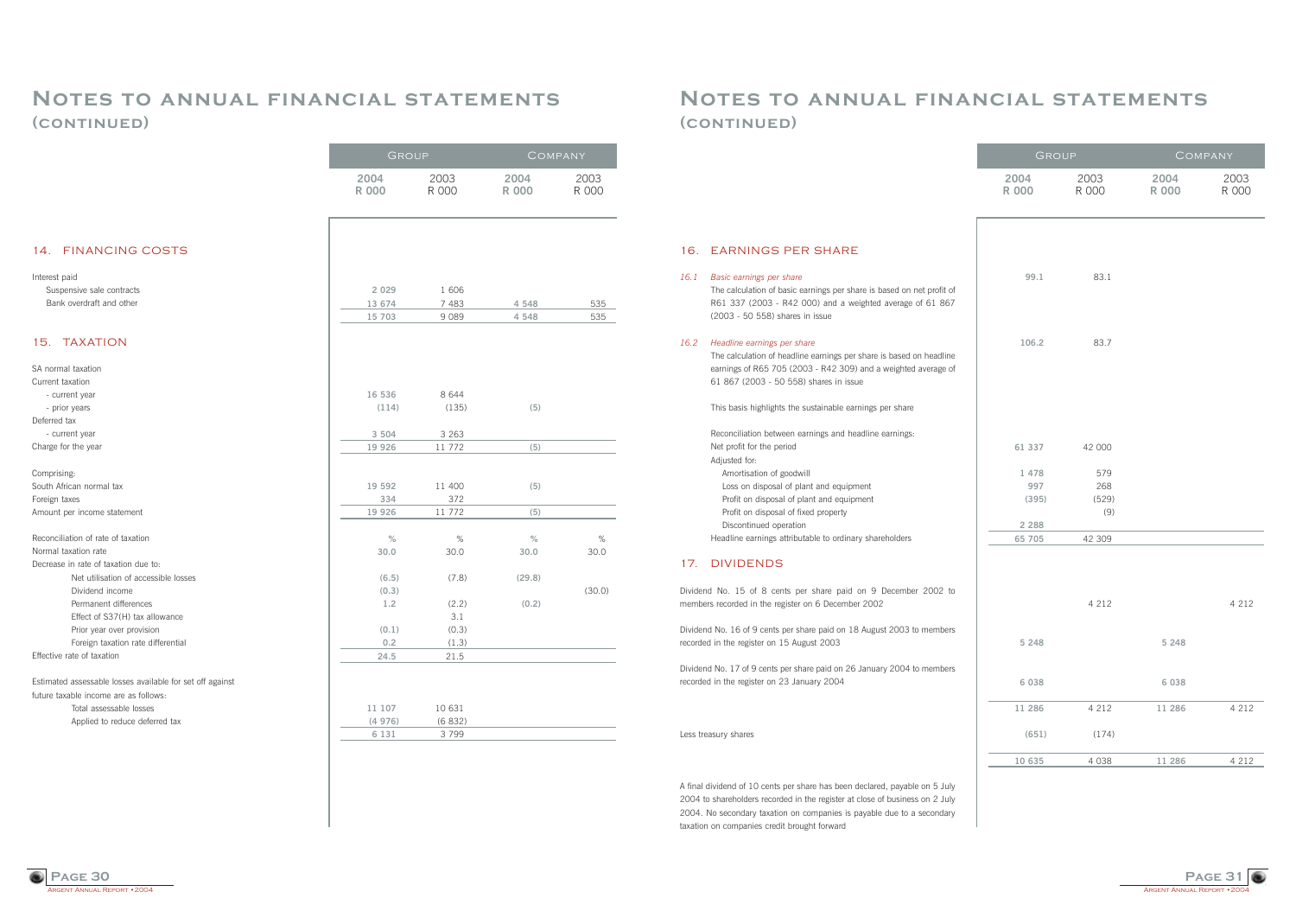

### **Notes to annual financial statements (continued)**

#### 16. EARNINGS PER SHARE

#### *16.1 Basic earnings per share*

The calculation of basic earnings per share is based on net profit of R61 337 (2003 - R42 000) and a weighted average of 61 867 (2003 - 50 558) shares in issue

#### *16.2 Headline earnings per share*

The calculation of headline earnings per share is based on headline earnings of R65 705 (2003 - R42 309) and a weighted average of 61 867 (2003 - 50 558) shares in issue

This basis highlights the sustainable earnings per share

Reconciliation between earnings and headline earnings: Net profit for the period

Adjusted for:

Amortisation of goodwill

Loss on disposal of plant and equipment

Profit on disposal of plant and equipment

Profit on disposal of fixed property

Discontinued operation

Headline earnings attributable to ordinary shareholders

#### 17. DIVIDENDS

Dividend No. 15 of 8 cents per share paid on 9 December 2002 to members recorded in the register on 6 December 2002

Dividend No. 16 of 9 cents per share paid on 18 August 2003 to members recorded in the register on 15 August 2003

Dividend No. 17 of 9 cents per share paid on 26 January 2004 to members recorded in the register on 23 January 2004

Less treasury shares

A final dividend of 10 cents per share has been declared, payable on 5 July 2004 to shareholders recorded in the register at close of business on 2 July 2004. No secondary taxation on companies is payable due to a secondary taxation on companies credit brought forward



### **Notes to annual financial statements (continued)**

GROUP COMPANY

| GROUP         |               | COMPANY              |               |  |
|---------------|---------------|----------------------|---------------|--|
| 2004<br>R 000 | 2003<br>R 000 | 2004<br><b>R</b> 000 | 2003<br>R 000 |  |
|               |               |                      |               |  |
| 99.1          | 83.1          |                      |               |  |
| 106.2         | 83.7          |                      |               |  |
|               |               |                      |               |  |
|               |               |                      |               |  |
| 61 337        | 42 000        |                      |               |  |
| 1 478         | 579           |                      |               |  |
| 997           | 268           |                      |               |  |
| (395)         | (529)         |                      |               |  |
|               | (9)           |                      |               |  |
| 2 2 8 8       |               |                      |               |  |
| 65 705        | 42 309        |                      |               |  |
|               |               |                      |               |  |
|               | 4 2 1 2       |                      | 4 2 1 2       |  |
| 5 2 4 8       |               | 5 2 4 8              |               |  |
| 6 0 3 8       |               | 6 0 3 8              |               |  |
| 11 286        | 4 2 1 2       | 11 286               | 4 2 1 2       |  |
| (651)         | (174)         |                      |               |  |
| 10 635        | 4 0 3 8       | 11 286               | 4 2 1 2       |  |

|                                                           | 2004         | 2003    | 2004         | 2003   |
|-----------------------------------------------------------|--------------|---------|--------------|--------|
|                                                           | <b>R 000</b> | R 000   | <b>R 000</b> | R 000  |
|                                                           |              |         |              |        |
|                                                           |              |         |              |        |
| <b>FINANCING COSTS</b>                                    |              |         |              |        |
| Interest paid                                             |              |         |              |        |
| Suspensive sale contracts                                 | 2 0 2 9      | 1 606   |              |        |
| Bank overdraft and other                                  | 13 674       | 7 4 8 3 | 4 5 4 8      | 535    |
|                                                           | 15 703       | 9 0 8 9 | 4 5 4 8      | 535    |
|                                                           |              |         |              |        |
| SA normal taxation                                        |              |         |              |        |
| Current taxation                                          |              |         |              |        |
|                                                           | 16 536       | 8 6 4 4 |              |        |
|                                                           | (114)        | (135)   | (5)          |        |
|                                                           |              |         |              |        |
|                                                           | 3 5 0 4      | 3 2 6 3 |              |        |
|                                                           | 19 9 26      | 11 772  | (5)          |        |
|                                                           |              |         |              |        |
| South African normal tax                                  | 19 592       | 11 400  | (5)          |        |
|                                                           | 334          | 372     |              |        |
| Amount per income statement                               | 19 9 26      | 11 772  | (5)          |        |
| Reconciliation of rate of taxation                        | $\%$         | %       | $\%$         | $\%$   |
|                                                           | 30.0         | 30.0    | 30.0         | 30.0   |
| Decrease in rate of taxation due to:                      |              |         |              |        |
| Net utilisation of accessible losses                      | (6.5)        | (7.8)   | (29.8)       |        |
| Dividend income                                           | (0.3)        |         |              | (30.0) |
| Permanent differences                                     | 1.2          | (2.2)   | (0.2)        |        |
| Effect of S37(H) tax allowance                            |              | 3.1     |              |        |
| Prior year over provision                                 | (0.1)        | (0.3)   |              |        |
| Foreign taxation rate differential                        | 0.2          | (1.3)   |              |        |
|                                                           | 24.5         | 21.5    |              |        |
| Estimated assessable losses available for set off against |              |         |              |        |
| future taxable income are as follows:                     |              |         |              |        |
| Total assessable losses                                   | 11 107       | 10 631  |              |        |
| Applied to reduce deferred tax                            | (4976)       | (6832)  |              |        |
|                                                           | 6 1 3 1      | 3 7 9 9 |              |        |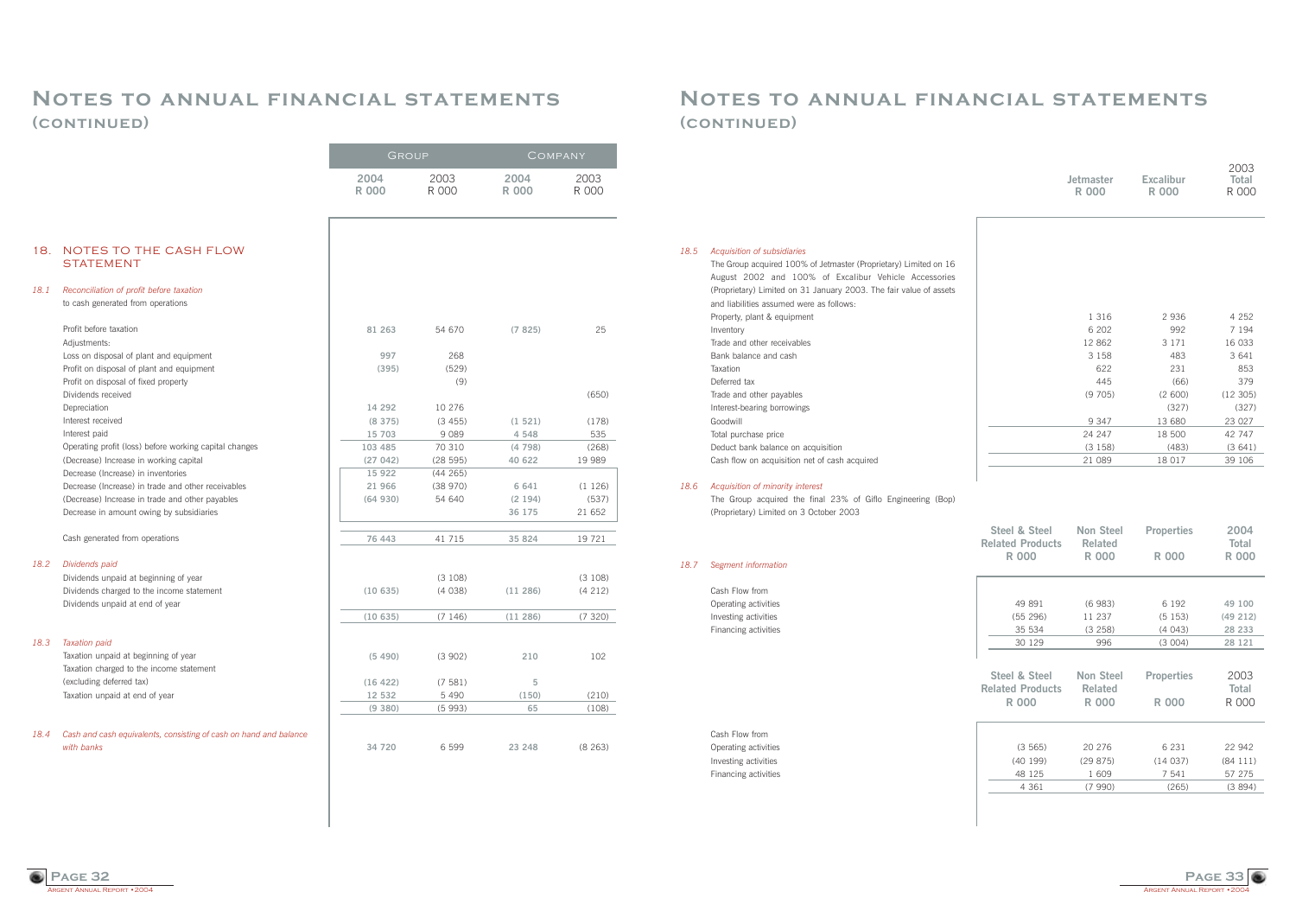ARGENT ANNUAL REPORT • 2004 **Page 33**

### **Notes to annual financial statements (continued)**

#### *18.5 Acquisition of subsidiaries*

| , icquisition or subsidiance                                                                    |
|-------------------------------------------------------------------------------------------------|
| The Group acquired 100% of Jetmaster (Proprietary) Limited on 16                                |
| August 2002 and 100% of Excalibur Vehicle Accessories                                           |
| (Proprietary) Limited on 31 January 2003. The fair value of assets                              |
| and liabilities assumed were as follows:                                                        |
| Property, plant & equipment                                                                     |
| Inventory                                                                                       |
| Trade and other receivables                                                                     |
| Bank balance and cash                                                                           |
| Taxation                                                                                        |
| Deferred tax                                                                                    |
| Trade and other payables                                                                        |
| Interest-bearing borrowings                                                                     |
| Goodwill                                                                                        |
| Total purchase price                                                                            |
| Deduct bank balance on acquisition                                                              |
| Cash flow on acquisition net of cash acquired                                                   |
|                                                                                                 |
| Acquisition of minority interest<br>The Croup acquired the final 23% of Ciflo Engineering (Ron) |
|                                                                                                 |

### *18.6 Acquisition of minority interest*

The Group acquired the final 23% of Giflo Engineering (Bop) (Proprietary) Limited on 3 October 2003

#### *18.7 Segment information*

Cash Flow from Operating activities Investing activities Financing activities

Cash Flow from Operating activities Investing activities Financing activities

| 1 3 1 6 | 2936    | 4 2 5 2 |
|---------|---------|---------|
| 6 202   | 992     | 7 1 9 4 |
| 12 862  | 3 1 7 1 | 16 033  |
| 3 1 5 8 | 483     | 3 641   |
| 622     | 231     | 853     |
| 445     | (66)    | 379     |
| (9705)  | (2600)  | (12305) |
|         | (327)   | (327)   |
| 9 3 4 7 | 13 680  | 23 0 27 |
| 24 247  | 18 500  | 42 747  |
| (3158)  | (483)   | (3641)  |
| 21 089  | 18 017  | 39 106  |



### **Notes to annual financial statements (continued)**

*18.1 Reconciliation of profit before taxation*

*18.2 Dividends paid*

| Steel & Steel<br><b>Related Products</b><br>R 000 | Non Steel<br><b>Related</b><br>R 000 | <b>Properties</b><br>R 000 | 2004<br><b>Total</b><br><b>R 000</b> |
|---------------------------------------------------|--------------------------------------|----------------------------|--------------------------------------|
|                                                   |                                      |                            |                                      |
| 49 891                                            | (6983)                               | 6 192                      | 49 100                               |
| (55 296)                                          | 11 237                               | (5153)                     | (49 212)                             |
| 35 534                                            | (3 258)                              | (4043)                     | 28 233                               |
| 30 129                                            | 996                                  | (3004)                     | 28 121                               |
|                                                   |                                      |                            |                                      |
| Steel & Steel<br><b>Related Products</b>          | Non Steel<br><b>Related</b>          | <b>Properties</b>          | 2003<br><b>Total</b>                 |
| <b>R000</b>                                       | R 000                                | <b>R000</b>                | R 000                                |
|                                                   |                                      |                            |                                      |
| (3565)                                            | 20 276                               | 6 2 3 1                    | 22 942                               |
| (40199)                                           | (29875)                              | (14037)                    | (84111)                              |
| 48 125                                            | 1 609                                | 7 541                      | 57 275                               |
| 4 3 6 1                                           | (7990)                               | (265)                      | (3894)                               |

*18.3 Taxation paid*

|                                                                                 | <b>UITOUL</b>        |               | <u>U UMEANI</u>      |               |
|---------------------------------------------------------------------------------|----------------------|---------------|----------------------|---------------|
|                                                                                 | 2004<br><b>R 000</b> | 2003<br>R 000 | 2004<br><b>R 000</b> | 2003<br>R 000 |
| NOTES TO THE CASH FLOW<br><b>STATEMENT</b>                                      |                      |               |                      |               |
| Reconciliation of profit before taxation<br>to cash generated from operations   |                      |               |                      |               |
| Profit before taxation<br>Adjustments:                                          | 81 263               | 54 670        | (7825)               | 25            |
| Loss on disposal of plant and equipment                                         | 997                  | 268           |                      |               |
| Profit on disposal of plant and equipment                                       | (395)                | (529)         |                      |               |
| Profit on disposal of fixed property                                            |                      | (9)           |                      |               |
| Dividends received                                                              |                      |               |                      | (650)         |
| Depreciation                                                                    | 14 29 2              | 10 276        |                      |               |
| Interest received                                                               | (8375)               | (3455)        | (1521)               | (178)         |
| Interest paid                                                                   | 15 703               | 9 0 8 9       | 4 5 4 8              | 535           |
| Operating profit (loss) before working capital changes                          | 103 485              | 70 310        | (4798)               | (268)         |
| (Decrease) Increase in working capital                                          | (27042)              | (28595)       | 40 622               | 19 989        |
| Decrease (Increase) in inventories                                              | 15 9 22              | (44 265)      |                      |               |
| Decrease (Increase) in trade and other receivables                              | 21 966               | (38970)       | 6 641                | (1126)        |
| (Decrease) Increase in trade and other payables                                 | (64930)              | 54 640        | (2194)               | (537)         |
| Decrease in amount owing by subsidiaries                                        |                      |               | 36 175               | 21 652        |
| Cash generated from operations                                                  | 76 443               | 41 715        | 35 824               | 19 721        |
| Dividends paid                                                                  |                      |               |                      |               |
| Dividends unpaid at beginning of year                                           |                      | (3 108)       |                      | (3 108)       |
| Dividends charged to the income statement<br>Dividends unpaid at end of year    | (10635)              | (4038)        | (11286)              | (4 212)       |
|                                                                                 | (10635)              | (7146)        | (11286)              | (7320)        |
| <b>Taxation paid</b>                                                            |                      |               |                      |               |
| Taxation unpaid at beginning of year                                            | (5490)               | (3902)        | 210                  | 102           |
| Taxation charged to the income statement                                        |                      |               |                      |               |
| (excluding deferred tax)                                                        | (16 422)             | (7581)        | 5                    |               |
| Taxation unpaid at end of year                                                  | 12 532               | 5 4 9 0       | (150)                | (210)         |
|                                                                                 | (9 380)              | (5993)        | 65                   | (108)         |
| Cash and cash equivalents, consisting of cash on hand and balance<br>with banks |                      |               |                      |               |
|                                                                                 | 34 720               | 6 5 9 9       | 23 248               | (8263)        |
|                                                                                 |                      |               |                      |               |

|                  |                  | 2003  |
|------------------|------------------|-------|
| <b>Jetmaster</b> | <b>Excalibur</b> | Total |
| R 000            | R 000            | R 000 |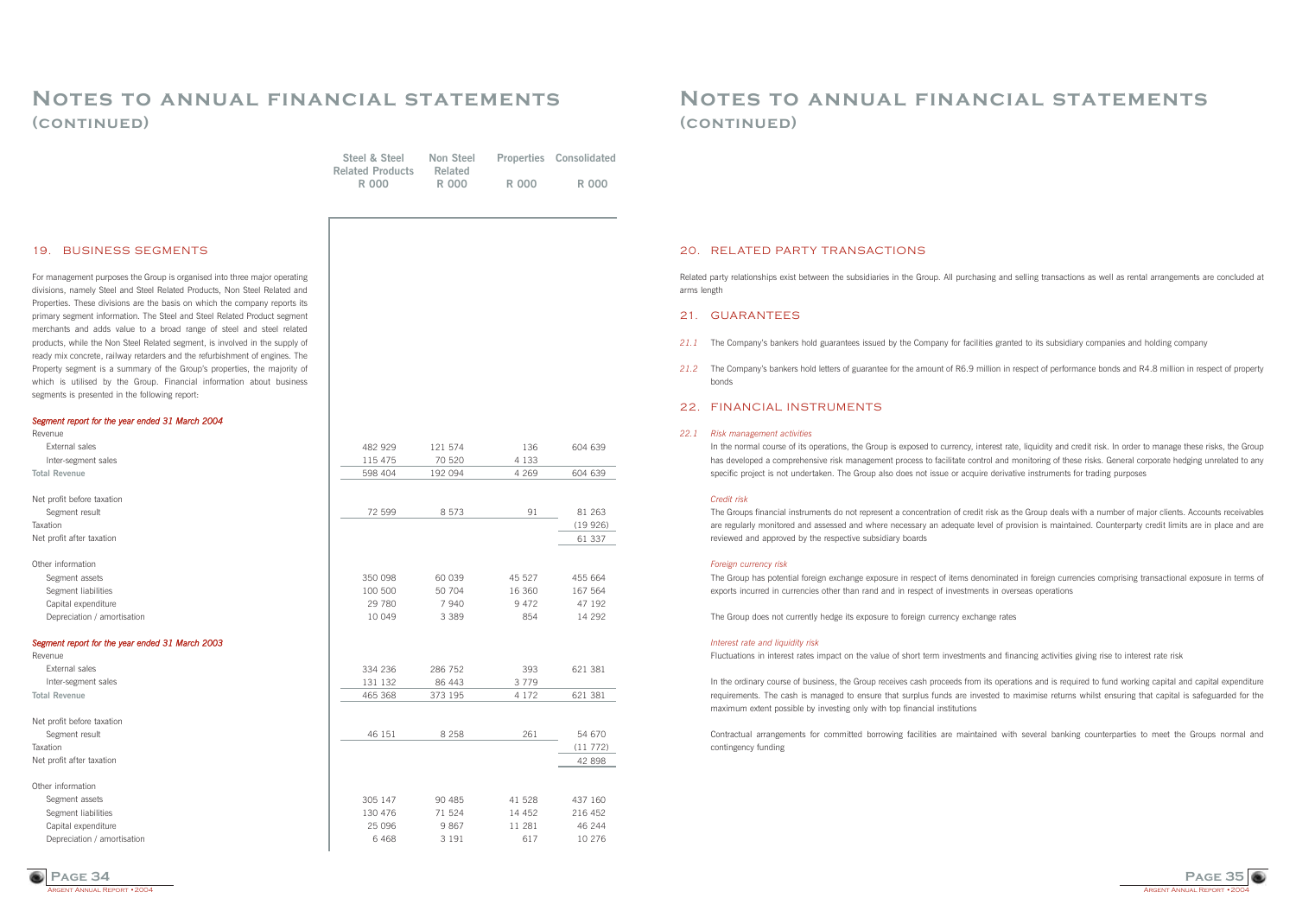

### **Notes to annual financial statements (continued)**

#### 20. RELATED PARTY TRANSACTIONS

Related party relationships exist between the subsidiaries in the Group. All purchasing and selling transactions as well as rental arrangements are concluded at arms length

#### 21. GUARANTEES

- 21.1 The Company's bankers hold guarantees issued by the Company for facilities granted to its subsidiary companies and holding company
- bonds

*21.2* The Companyís bankers hold letters of guarantee for the amount of R6.9 million in respect of performance bonds and R4.8 million in respect of property

In the normal course of its operations, the Group is exposed to currency, interest rate, liquidity and credit risk. In order to manage these risks, the Group has developed a comprehensive risk management process to facilitate control and monitoring of these risks. General corporate hedging unrelated to any specific project is not undertaken. The Group also does not issue or acquire derivative instruments for trading purposes

### 22. FINANCIAL INSTRUMENTS

#### *22.1 Risk management activities*

#### *Credit risk*

The Groups financial instruments do not represent a concentration of credit risk as the Group deals with a number of major clients. Accounts receivables are regularly monitored and assessed and where necessary an adequate level of provision is maintained. Counterparty credit limits are in place and are reviewed and approved by the respective subsidiary boards

#### *Foreign currency risk*

The Group has potential foreign exchange exposure in respect of items denominated in foreign currencies comprising transactional exposure in terms of exports incurred in currencies other than rand and in respect of investments in overseas operations

The Group does not currently hedge its exposure to foreign currency exchange rates

#### *Interest rate and liquidity risk*

Fluctuations in interest rates impact on the value of short term investments and financing activities giving rise to interest rate risk

In the ordinary course of business, the Group receives cash proceeds from its operations and is required to fund working capital and capital expenditure requirements. The cash is managed to ensure that surplus funds are invested to maximise returns whilst ensuring that capital is safeguarded for the maximum extent possible by investing only with top financial institutions

Contractual arrangements for committed borrowing facilities are maintained with several banking counterparties to meet the Groups normal and contingency funding

### **Notes to annual financial statements (continued)**

| 19. BUSINESS SEGMENTS                                                                                                                                  |                   |                 |                   |                   |
|--------------------------------------------------------------------------------------------------------------------------------------------------------|-------------------|-----------------|-------------------|-------------------|
|                                                                                                                                                        |                   |                 |                   |                   |
| For management purposes the Group is organised into three major operating<br>divisions, namely Steel and Steel Related Products, Non Steel Related and |                   |                 |                   |                   |
| Properties. These divisions are the basis on which the company reports its                                                                             |                   |                 |                   |                   |
| primary segment information. The Steel and Steel Related Product segment                                                                               |                   |                 |                   |                   |
| merchants and adds value to a broad range of steel and steel related                                                                                   |                   |                 |                   |                   |
| products, while the Non Steel Related segment, is involved in the supply of                                                                            |                   |                 |                   |                   |
| ready mix concrete, railway retarders and the refurbishment of engines. The                                                                            |                   |                 |                   |                   |
| Property segment is a summary of the Group's properties, the majority of                                                                               |                   |                 |                   |                   |
| which is utilised by the Group. Financial information about business                                                                                   |                   |                 |                   |                   |
| segments is presented in the following report:                                                                                                         |                   |                 |                   |                   |
| Segment report for the year ended 31 March 2004                                                                                                        |                   |                 |                   |                   |
| Revenue                                                                                                                                                |                   |                 |                   |                   |
| External sales                                                                                                                                         | 482 929           | 121 574         | 136               | 604 639           |
| Inter-segment sales                                                                                                                                    | 115 475           | 70 520          | 4 1 3 3           |                   |
| <b>Total Revenue</b>                                                                                                                                   | 598 404           | 192 094         | 4 2 6 9           | 604 639           |
| Net profit before taxation                                                                                                                             |                   |                 |                   |                   |
| Segment result                                                                                                                                         | 72 599            | 8 5 7 3         | 91                | 81 263            |
| Taxation                                                                                                                                               |                   |                 |                   | (19926)           |
| Net profit after taxation                                                                                                                              |                   |                 |                   | 61 337            |
|                                                                                                                                                        |                   |                 |                   |                   |
| Other information                                                                                                                                      |                   |                 |                   |                   |
| Segment assets                                                                                                                                         | 350 098           | 60 039          | 45 527            | 455 664           |
| Segment liabilities<br>Capital expenditure                                                                                                             | 100 500<br>29 780 | 50 704<br>7 940 | 16 360<br>9 4 7 2 | 167 564<br>47 192 |
| Depreciation / amortisation                                                                                                                            | 10 049            | 3 3 8 9         | 854               | 14 292            |
|                                                                                                                                                        |                   |                 |                   |                   |
| Segment report for the year ended 31 March 2003                                                                                                        |                   |                 |                   |                   |
| Revenue                                                                                                                                                |                   |                 |                   |                   |
| External sales                                                                                                                                         | 334 236           | 286 752         | 393               | 621 381           |
| Inter-segment sales                                                                                                                                    | 131 132           | 86 443          | 3779              |                   |
| <b>Total Revenue</b>                                                                                                                                   | 465 368           | 373 195         | 4 1 7 2           | 621 381           |
| Net profit before taxation                                                                                                                             |                   |                 |                   |                   |
| Segment result                                                                                                                                         | 46 151            | 8 2 5 8         | 261               | 54 670            |
| Taxation                                                                                                                                               |                   |                 |                   | (11 772)          |
| Net profit after taxation                                                                                                                              |                   |                 |                   | 42 898            |
| Other information                                                                                                                                      |                   |                 |                   |                   |
| Segment assets                                                                                                                                         | 305 147           | 90 485          | 41 528            | 437 160           |
| Segment liabilities                                                                                                                                    | 130 476           | 71 524          | 14 452            | 216 452           |
| Capital expenditure                                                                                                                                    | 25 0 96           | 9867            | 11 281            | 46 244            |
| Depreciation / amortisation                                                                                                                            | 6 4 6 8           | 3 1 9 1         | 617               | 10 276            |

| Steel & Steel           | <b>Non Steel</b> |       | <b>Properties Consolidated</b> |
|-------------------------|------------------|-------|--------------------------------|
| <b>Related Products</b> | Related          |       |                                |
| R 000                   | R 000            | R 000 | R 000                          |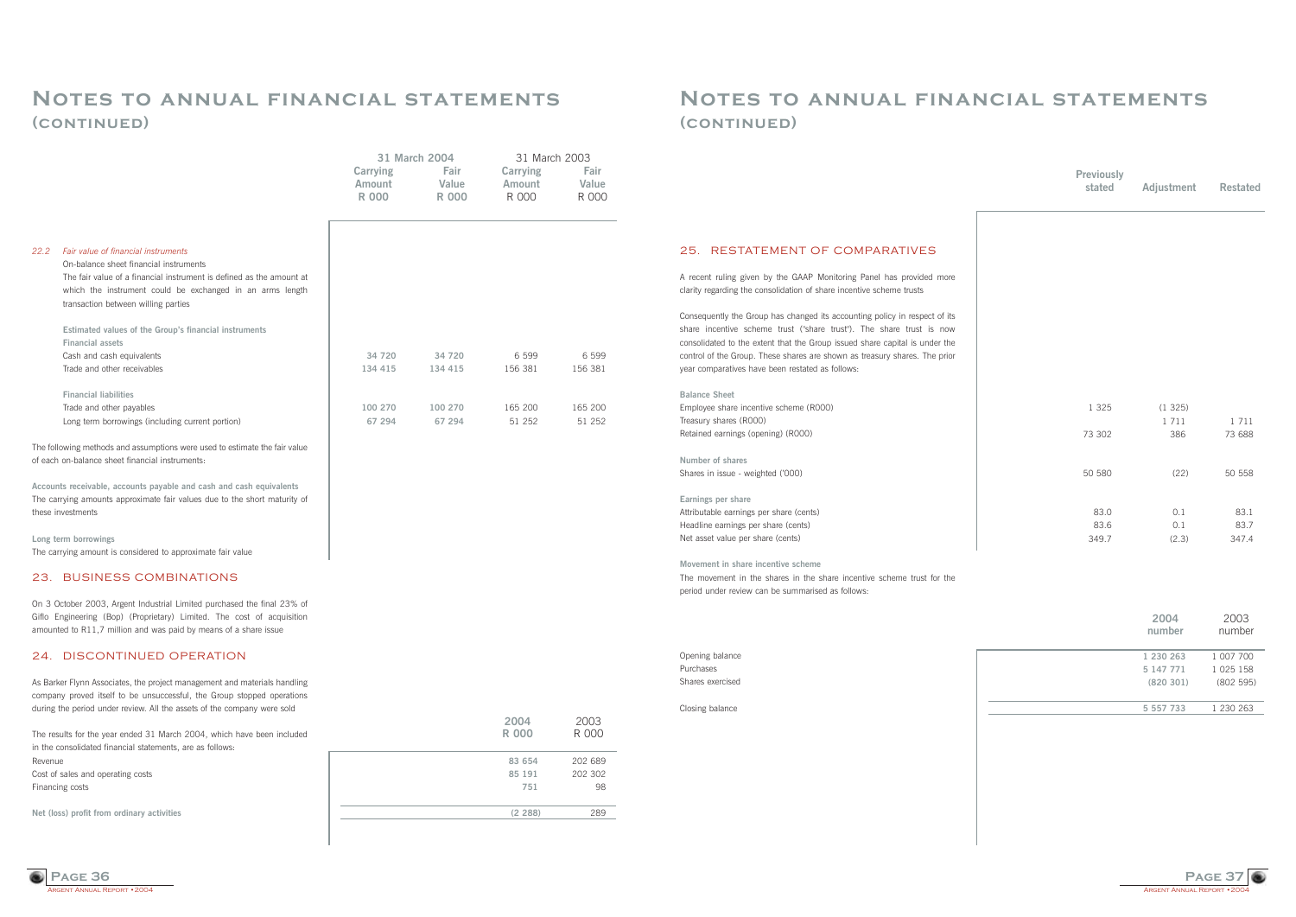

### **Notes to annual financial statements (continued)**

### 25. RESTATEMENT OF COMPARATIVES

A recent ruling given by the GAAP Monitoring Panel has provided more clarity regarding the consolidation of share incentive scheme trusts

**Number of shares** Shares in issue - weighted ('000)

Consequently the Group has changed its accounting policy in respect of its share incentive scheme trust ("share trust"). The share trust is now consolidated to the extent that the Group issued share capital is under the control of the Group. These shares are shown as treasury shares. The prior year comparatives have been restated as follows:

### **Balance Sheet**

Employee share incentive scheme (R000) Treasury shares (R000) Retained earnings (opening) (R000)

RGENT ANNUAL REPORT • 2004 **Page 36**

#### **Earnings per share**

Attributable earnings per share (cents) Headline earnings per share (cents) Net asset value per share (cents)

#### **Movement in share incentive scheme**

The movement in the shares in the share incentive scheme trust for the period under review can be summarised as follows:

#### Opening balance Purchases

Shares exercised

Closing balance

| 1 3 2 5 | (1325)<br>1711 | 1711   |
|---------|----------------|--------|
| 73 302  | 386            | 73 688 |
| 50 580  | (22)           | 50 558 |
| 83.0    | 0.1            | 83.1   |
| 83.6    | 0.1            | 83.7   |
| 349.7   | (2.3)          | 347.4  |

### **Notes to annual financial statements (continued)**

| 2004<br>number | 2003<br>number |
|----------------|----------------|
| 1 230 263      | 1 007 700      |
| 5 147 771      | 1 025 158      |
| (820301)       | (802595)       |
| 5 557 733      | 1 230 263      |
|                |                |

|                                                                                                                                                   |                                    | 31 March 2004          | 31 March 2003               |                        |
|---------------------------------------------------------------------------------------------------------------------------------------------------|------------------------------------|------------------------|-----------------------------|------------------------|
|                                                                                                                                                   | <b>Carrying</b><br>Amount<br>R 000 | Fair<br>Value<br>R 000 | Carrying<br>Amount<br>R 000 | Fair<br>Value<br>R 000 |
|                                                                                                                                                   |                                    |                        |                             |                        |
| 22.2<br>Fair value of financial instruments                                                                                                       |                                    |                        |                             |                        |
| On-balance sheet financial instruments<br>The fair value of a financial instrument is defined as the amount at                                    |                                    |                        |                             |                        |
| which the instrument could be exchanged in an arms length                                                                                         |                                    |                        |                             |                        |
| transaction between willing parties                                                                                                               |                                    |                        |                             |                        |
| Estimated values of the Group's financial instruments                                                                                             |                                    |                        |                             |                        |
| <b>Financial assets</b>                                                                                                                           |                                    |                        |                             |                        |
| Cash and cash equivalents                                                                                                                         | 34 720                             | 34 720                 | 6 5 9 9                     | 6 5 9 9                |
| Trade and other receivables                                                                                                                       | 134 415                            | 134 415                | 156 381                     | 156 381                |
| <b>Financial liabilities</b>                                                                                                                      |                                    |                        |                             |                        |
| Trade and other payables                                                                                                                          | 100 270                            | 100 270                | 165 200                     | 165 200                |
| Long term borrowings (including current portion)                                                                                                  | 67 294                             | 67 294                 | 51 252                      | 51 252                 |
| The following methods and assumptions were used to estimate the fair value<br>of each on-balance sheet financial instruments:                     |                                    |                        |                             |                        |
|                                                                                                                                                   |                                    |                        |                             |                        |
| Accounts receivable, accounts payable and cash and cash equivalents                                                                               |                                    |                        |                             |                        |
| The carrying amounts approximate fair values due to the short maturity of<br>these investments                                                    |                                    |                        |                             |                        |
| Long term borrowings                                                                                                                              |                                    |                        |                             |                        |
| The carrying amount is considered to approximate fair value                                                                                       |                                    |                        |                             |                        |
| 23. BUSINESS COMBINATIONS                                                                                                                         |                                    |                        |                             |                        |
| On 3 October 2003, Argent Industrial Limited purchased the final 23% of                                                                           |                                    |                        |                             |                        |
| Giflo Engineering (Bop) (Proprietary) Limited. The cost of acquisition                                                                            |                                    |                        |                             |                        |
| amounted to R11,7 million and was paid by means of a share issue                                                                                  |                                    |                        |                             |                        |
| 24. DISCONTINUED OPERATION                                                                                                                        |                                    |                        |                             |                        |
| As Barker Flynn Associates, the project management and materials handling                                                                         |                                    |                        |                             |                        |
| company proved itself to be unsuccessful, the Group stopped operations<br>during the period under review. All the assets of the company were sold |                                    |                        |                             |                        |
|                                                                                                                                                   |                                    |                        | 2004                        | 2003                   |
| The results for the year ended 31 March 2004, which have been included                                                                            |                                    |                        | <b>R000</b>                 | R 000                  |
| in the consolidated financial statements, are as follows:                                                                                         |                                    |                        |                             |                        |
| Revenue                                                                                                                                           |                                    |                        | 83 654                      | 202 689                |
| Cost of sales and operating costs                                                                                                                 |                                    |                        | 85 191                      | 202 302                |
| Financing costs                                                                                                                                   |                                    |                        | 751                         | 98                     |
| Net (loss) profit from ordinary activities                                                                                                        |                                    |                        | (2 288)                     | 289                    |
|                                                                                                                                                   |                                    |                        |                             |                        |

| <b>Previously</b><br>stated | Adjustment | <b>Restated</b> |
|-----------------------------|------------|-----------------|
|                             |            |                 |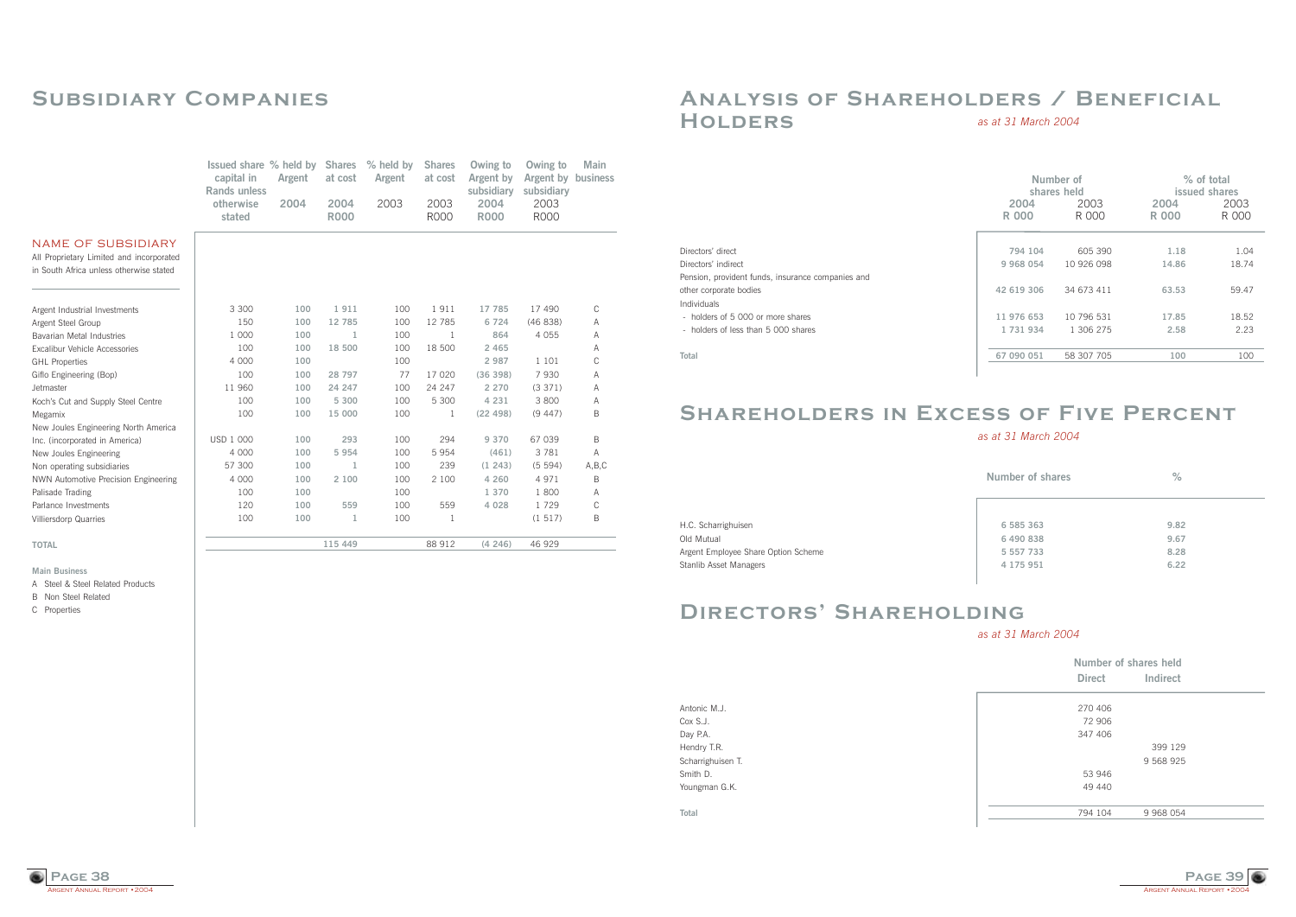

### **Analysis of Shareholders / Beneficial Holders** *as at 31 March 2004*

# **Shareholders in Excess of Five Percent**

*as at 31 March 2004*

Directors' direct Directors' indirect Pension, provident funds, insurance companies and other corporate bodies Individuals - holders of 5 000 or more shares - holders of less than 5 000 shares

**Total**

H.C. Scharrighuisen Old Mutual Argent Employee Share Option Scheme Stanlib Asset Managers

# **DIRECTORS' SHAREHOLDING**

Antonic M.J. Cox S.J. Day P.A. Hendry T.R. Scharrighuisen T. Smith D. Youngman G.K.

**Total**

|               | Number of<br>shares held |               | % of total<br>issued shares |
|---------------|--------------------------|---------------|-----------------------------|
| 2004<br>R 000 | 2003<br>R 000            | 2004<br>R 000 | 2003<br>R 000               |
|               |                          |               |                             |
| 794 104       | 605 390                  | 1.18          | 1.04                        |
| 9 968 054     | 10 926 098               | 14.86         | 18.74                       |
| 42 619 306    | 34 673 411               | 63.53         | 59.47                       |
| 11 976 653    | 10 796 531               | 17.85         | 18.52                       |
| 1 731 934     | 1 306 275                | 2.58          | 2.23                        |
| 67 090 051    | 58 307 705               | 100           | 100                         |

| Number of shares | $\frac{0}{2}$ |
|------------------|---------------|
|                  |               |
| 6 585 363        | 9.82          |
| 6 490 838        | 9.67          |
| 5 557 733        | 8.28          |
| 4 175 951        | 6.22          |
|                  |               |

| Number of shares held |           |  |
|-----------------------|-----------|--|
| <b>Direct</b>         | Indirect  |  |
| 270 406               |           |  |
| 72 906                |           |  |
| 347 406               |           |  |
|                       | 399 129   |  |
|                       | 9 568 925 |  |
| 53 946                |           |  |
| 49 440                |           |  |
|                       |           |  |
| 794 104               | 9 968 054 |  |

*as at 31 March 2004*



# **Subsidiary Companies**

**Main Business**

A Steel & Steel Related Products

B Non Steel Related

C Properties

|                                                                                                                  | Issued share % held by<br>capital in<br>Rands unless | Argent | <b>Shares</b><br>at cost | % held by<br>Argent | <b>Shares</b><br>at cost | Owing to<br>Argent by<br>subsidiary | Owing to<br>Argent by<br>subsidiary | Main<br>business |
|------------------------------------------------------------------------------------------------------------------|------------------------------------------------------|--------|--------------------------|---------------------|--------------------------|-------------------------------------|-------------------------------------|------------------|
|                                                                                                                  | otherwise<br>stated                                  | 2004   | 2004<br><b>R000</b>      | 2003                | 2003<br><b>R000</b>      | 2004<br><b>R000</b>                 | 2003<br><b>R000</b>                 |                  |
| <b>NAME OF SUBSIDIARY</b><br>All Proprietary Limited and incorporated<br>in South Africa unless otherwise stated |                                                      |        |                          |                     |                          |                                     |                                     |                  |
| Argent Industrial Investments                                                                                    | 3 3 0 0                                              | 100    | 1911                     | 100                 | 1911                     | 17 785                              | 17 490                              | C                |
| Argent Steel Group                                                                                               | 150                                                  | 100    | 12 785                   | 100                 | 12 785                   | 6 7 2 4                             | (46838)                             | Α                |
| Bavarian Metal Industries                                                                                        | 1 000                                                | 100    | 1                        | 100                 | -1                       | 864                                 | 4 0 5 5                             | Α                |
| Excalibur Vehicle Accessories                                                                                    | 100                                                  | 100    | 18 500                   | 100                 | 18 500                   | 2 4 6 5                             |                                     | Α                |
| <b>GHL Properties</b>                                                                                            | 4 0 0 0                                              | 100    |                          | 100                 |                          | 2 9 8 7                             | 1 101                               | C                |
| Giflo Engineering (Bop)                                                                                          | 100                                                  | 100    | 28 797                   | 77                  | 17 020                   | (36 398)                            | 7930                                | Α                |
| Jetmaster                                                                                                        | 11 960                                               | 100    | 24 247                   | 100                 | 24 247                   | 2 2 7 0                             | (3371)                              | Α                |
| Koch's Cut and Supply Steel Centre                                                                               | 100                                                  | 100    | 5 300                    | 100                 | 5 300                    | 4 2 3 1                             | 3 800                               | Α                |
| Megamix                                                                                                          | 100                                                  | 100    | 15 000                   | 100                 | 1                        | (22498)                             | (9447)                              | Β                |
| New Joules Engineering North America                                                                             |                                                      |        |                          |                     |                          |                                     |                                     |                  |
| Inc. (incorporated in America)                                                                                   | <b>USD 1 000</b>                                     | 100    | 293                      | 100                 | 294                      | 9 3 7 0                             | 67 039                              | Β                |
| New Joules Engineering                                                                                           | 4 0 0 0                                              | 100    | 5 9 5 4                  | 100                 | 5 9 5 4                  | (461)                               | 3781                                | Α                |
| Non operating subsidiaries                                                                                       | 57 300                                               | 100    | 1                        | 100                 | 239                      | (1, 243)                            | (5594)                              | A, B, C          |
| NWN Automotive Precision Engineering                                                                             | 4 0 0 0                                              | 100    | 2 100                    | 100                 | 2 100                    | 4 2 6 0                             | 4 9 7 1                             | B                |
| Palisade Trading                                                                                                 | 100                                                  | 100    |                          | 100                 |                          | 1 370                               | 1800                                | A                |
| Parlance Investments                                                                                             | 120                                                  | 100    | 559                      | 100                 | 559                      | 4 0 2 8                             | 1729                                | C                |
| <b>Villiersdorp Quarries</b>                                                                                     | 100                                                  | 100    | 1                        | 100                 | 1                        |                                     | (1517)                              | B                |
| <b>TOTAL</b>                                                                                                     |                                                      |        | 115 449                  |                     | 88 912                   | (4246)                              | 46 929                              |                  |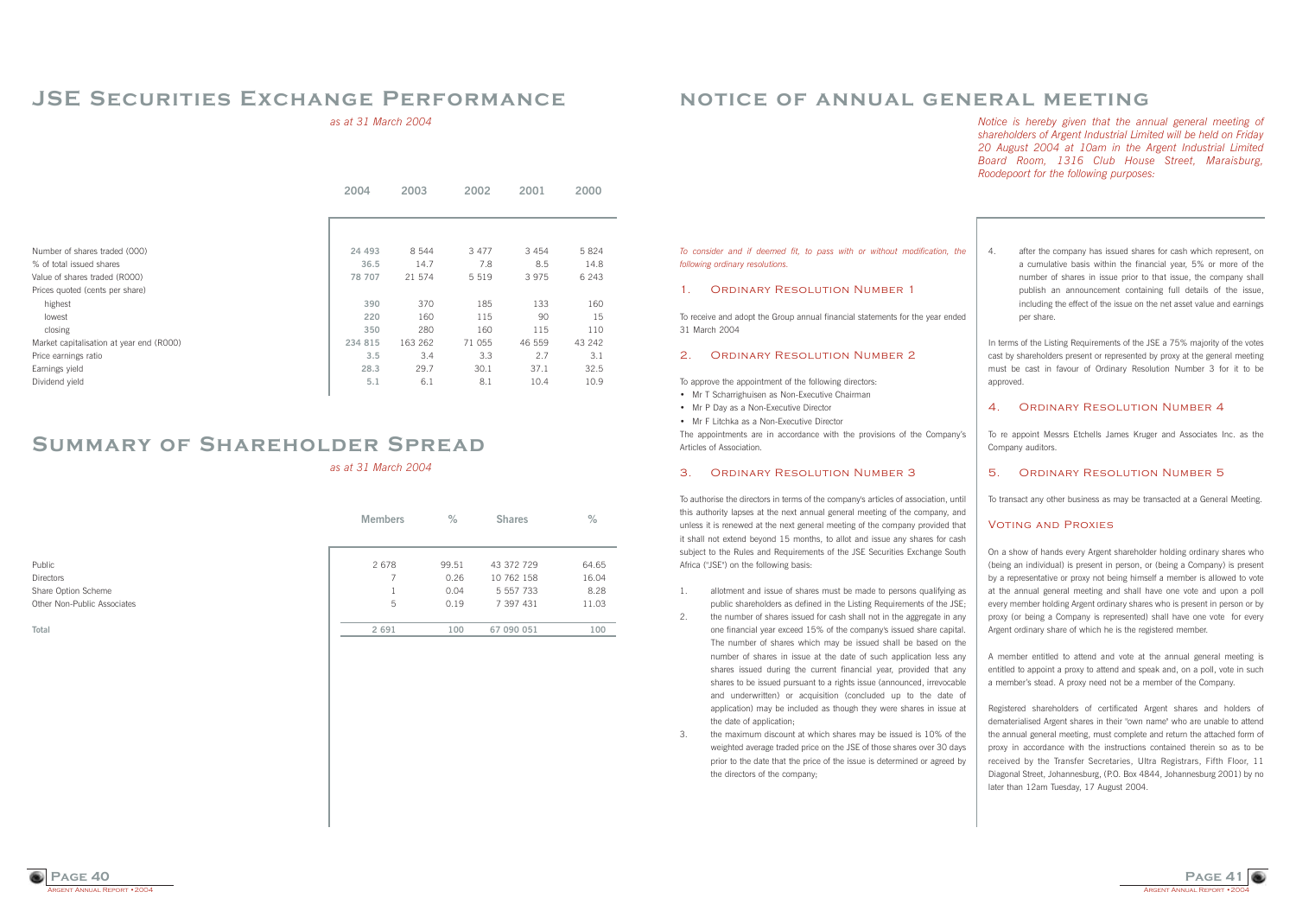

### **notice of annual general meeting**

*Notice is hereby given that the annual general meeting of shareholders of Argent Industrial Limited will be held on Friday 20 August 2004 at 10am in the Argent Industrial Limited Board Room, 1316 Club House Street, Maraisburg, Roodepoort for the following purposes:*

*To consider and if deemed fit, to pass with or without modification, the following ordinary resolutions.*

The appointments are in accordance with the provisions of the Company's Articles of Association.

#### 1. Ordinary Resolution Number 1

To receive and adopt the Group annual financial statements for the year ended 31 March 2004

#### 2. Ordinary Resolution Number 2

To approve the appointment of the following directors:

- Mr T Scharrighuisen as Non-Executive Chairman
- Mr P Day as a Non-Executive Director
- Mr F Litchka as a Non-Executive Director

#### 3. Ordinary Resolution Number 3

To authorise the directors in terms of the company's articles of association, until this authority lapses at the next annual general meeting of the company, and unless it is renewed at the next general meeting of the company provided that it shall not extend beyond 15 months, to allot and issue any shares for cash subject to the Rules and Requirements of the JSE Securities Exchange South Africa ("JSE") on the following basis:

In terms of the Listing Requirements of the JSE a 75% majority of the votes cast by shareholders present or represented by proxy at the general meeting must be cast in favour of Ordinary Resolution Number 3 for it to be approved

#### 4 ORDINARY RESOLUTION NUMBER 4

- 1. allotment and issue of shares must be made to persons qualifying as public shareholders as defined in the Listing Requirements of the JSE;
- 2. the number of shares issued for cash shall not in the aggregate in any one financial year exceed 15% of the company's issued share capital. The number of shares which may be issued shall be based on the number of shares in issue at the date of such application less any shares issued during the current financial year, provided that any shares to be issued pursuant to a rights issue (announced, irrevocable and underwritten) or acquisition (concluded up to the date of application) may be included as though they were shares in issue at the date of application;
- 3. the maximum discount at which shares may be issued is 10% of the weighted average traded price on the JSE of those shares over 30 days prior to the date that the price of the issue is determined or agreed by the directors of the company;

4. after the company has issued shares for cash which represent, on a cumulative basis within the financial year, 5% or more of the number of shares in issue prior to that issue, the company shall publish an announcement containing full details of the issue, including the effect of the issue on the net asset value and earnings per share.

To re appoint Messrs Etchells James Kruger and Associates Inc. as the Company auditors.

#### 5. Ordinary Resolution Number 5

To transact any other business as may be transacted at a General Meeting.

#### Voting and Proxies

On a show of hands every Argent shareholder holding ordinary shares who (being an individual) is present in person, or (being a Company) is present by a representative or proxy not being himself a member is allowed to vote at the annual general meeting and shall have one vote and upon a poll every member holding Argent ordinary shares who is present in person or by proxy (or being a Company is represented) shall have one vote for every Argent ordinary share of which he is the registered member.

A member entitled to attend and vote at the annual general meeting is entitled to appoint a proxy to attend and speak and, on a poll, vote in such a memberís stead. A proxy need not be a member of the Company.

Registered shareholders of certificated Argent shares and holders of dematerialised Argent shares in their "own name" who are unable to attend the annual general meeting, must complete and return the attached form of proxy in accordance with the instructions contained therein so as to be received by the Transfer Secretaries, Ultra Registrars, Fifth Floor, 11 Diagonal Street, Johannesburg, (P.O. Box 4844, Johannesburg 2001) by no later than 12am Tuesday, 17 August 2004.



### **JSE Securities Exchange Performance**

*as at 31 March 2004*

|                                          | 2004     | 2003    | 2002    | 2001   | 2000    |
|------------------------------------------|----------|---------|---------|--------|---------|
|                                          |          |         |         |        |         |
|                                          |          |         |         |        |         |
| Number of shares traded (000)            | 24 4 9 3 | 8 5 4 4 | 3 4 7 7 | 3454   | 5 8 2 4 |
| % of total issued shares                 | 36.5     | 14.7    | 7.8     | 8.5    | 14.8    |
| Value of shares traded (ROOO)            | 78 707   | 21 574  | 5 5 1 9 | 3975   | 6 2 4 3 |
| Prices quoted (cents per share)          |          |         |         |        |         |
| highest                                  | 390      | 370     | 185     | 133    | 160     |
| lowest                                   | 220      | 160     | 115     | 90     | 15      |
| closing                                  | 350      | 280     | 160     | 115    | 110     |
| Market capitalisation at year end (R000) | 234 815  | 163 262 | 71 055  | 46 559 | 43 242  |
| Price earnings ratio                     | 3.5      | 3.4     | 3.3     | 2.7    | 3.1     |
| Earnings yield                           | 28.3     | 29.7    | 30.1    | 37.1   | 32.5    |
| Dividend yield                           | 5.1      | 6.1     | 8.1     | 10.4   | 10.9    |

|                             | <b>Members</b> | $\%$  | <b>Shares</b> | $\%$  |
|-----------------------------|----------------|-------|---------------|-------|
| Public                      | 2 6 7 8        | 99.51 | 43 372 729    | 64.65 |
| Directors                   |                | 0.26  | 10 762 158    | 16.04 |
| Share Option Scheme         |                | 0.04  | 5 557 733     | 8.28  |
| Other Non-Public Associates | 5              | 0.19  | 7 397 431     | 11.03 |
| Total                       | 2 6 9 1        | 100   | 67 090 051    | 100   |

# **Summary of Shareholder Spread**

*as at 31 March 2004*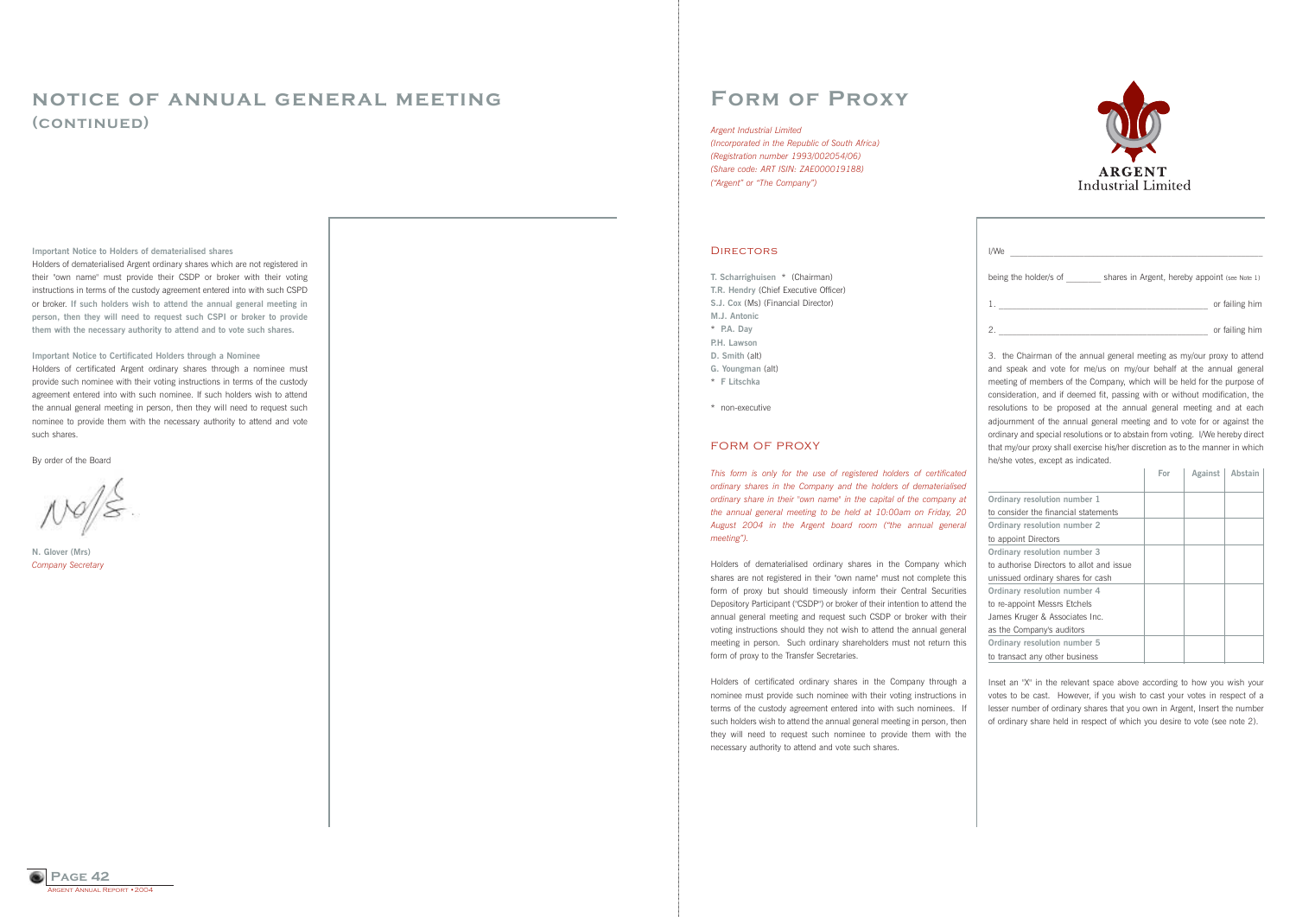**Form of Proxy**

**T. Scharrighuisen** \* (Chairman) **T.R. Hendry** (Chief Executive Officer) **S.J. Cox** (Ms) (Financial Director) **M.J. Antonic** \* **P.A. Day P.H. Lawson D. Smith** (alt) **G. Youngman** (alt) \* **F Litschka**

*This form is only for the use of registered holders of certificated ordinary shares in the Company and the holders of dematerialised ordinary share in their "own name" in the capital of the company at the annual general meeting to be held at 10:00am on Friday, 20* August 2004 in the Argent board room ("the annual general *meeting*").

\* non-executive

### FORM OF PROXY

Holders of dematerialised ordinary shares in the Company which shares are not registered in their "own name" must not complete this form of proxy but should timeously inform their Central Securities Depository Participant ("CSDP") or broker of their intention to attend the annual general meeting and request such CSDP or broker with their voting instructions should they not wish to attend the annual general meeting in person. Such ordinary shareholders must not return this form of proxy to the Transfer Secretaries.

| I/We                  |                                               |                |
|-----------------------|-----------------------------------------------|----------------|
| being the holder/s of | shares in Argent, hereby appoint (see Note 1) |                |
|                       |                                               | or failing him |
| $\overline{2}$        |                                               | or failing him |

Holders of certificated ordinary shares in the Company through a nominee must provide such nominee with their voting instructions in terms of the custody agreement entered into with such nominees. If such holders wish to attend the annual general meeting in person, then they will need to request such nominee to provide them with the necessary authority to attend and vote such shares.

3. the Chairman of the annual general meeting as my/our proxy to attend and speak and vote for me/us on my/our behalf at the annual general meeting of members of the Company, which will be held for the purpose of consideration, and if deemed fit, passing with or without modification, the resolutions to be proposed at the annual general meeting and at each adjournment of the annual general meeting and to vote for or against the ordinary and special resolutions or to abstain from voting. I/We hereby direct that my/our proxy shall exercise his/her discretion as to the manner in which he/she votes, except as indicated.

*(Incorporated in the Republic of South Africa) (Registration number 1993/002054/06) (Share code: ART ISIN: ZAE000019188) ("Argent" or "The Company")* 

#### **DIRECTORS**

|                                           | For | Against | Abstain |
|-------------------------------------------|-----|---------|---------|
|                                           |     |         |         |
| Ordinary resolution number 1              |     |         |         |
| to consider the financial statements      |     |         |         |
| Ordinary resolution number 2              |     |         |         |
| to appoint Directors                      |     |         |         |
| Ordinary resolution number 3              |     |         |         |
| to authorise Directors to allot and issue |     |         |         |
| unissued ordinary shares for cash         |     |         |         |
| Ordinary resolution number 4              |     |         |         |
| to re-appoint Messrs Etchels              |     |         |         |
| James Kruger & Associates Inc.            |     |         |         |
| as the Company's auditors                 |     |         |         |
| Ordinary resolution number 5              |     |         |         |
| to transact any other business            |     |         |         |

Inset an "X" in the relevant space above according to how you wish your votes to be cast. However, if you wish to cast your votes in respect of a lesser number of ordinary shares that you own in Argent, Insert the number of ordinary share held in respect of which you desire to vote (see note 2).





### **notice of annual general meeting (continued)**

**Important Notice to Holders of dematerialised shares**

Holders of dematerialised Argent ordinary shares which are not registered in their "own name" must provide their CSDP or broker with their voting instructions in terms of the custody agreement entered into with such CSPD or broker. **If such holders wish to attend the annual general meeting in person, then they will need to request such CSPI or broker to provide them with the necessary authority to attend and to vote such shares.**

**Important Notice to Certificated Holders through a Nominee** 

Holders of certificated Argent ordinary shares through a nominee must provide such nominee with their voting instructions in terms of the custody agreement entered into with such nominee. If such holders wish to attend the annual general meeting in person, then they will need to request such nominee to provide them with the necessary authority to attend and vote such shares.

By order of the Board

**N. Glover (Mrs)** *Company Secretary*

#### *Argent Industrial Limited*